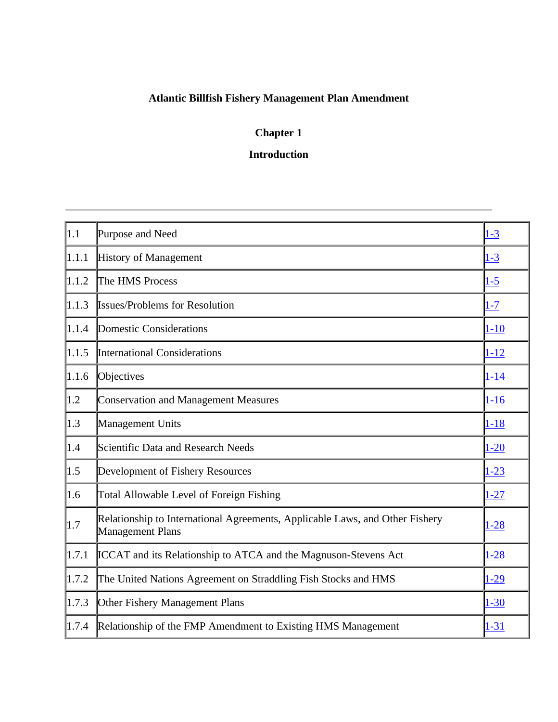# **Atlantic Billfish Fishery Management Plan Amendment**

# **Chapter 1**

# **Introduction**

| $\vert$ 1.1       | Purpose and Need                                                                                        | $1 - 3$  |
|-------------------|---------------------------------------------------------------------------------------------------------|----------|
| 1.1.1             | History of Management                                                                                   | $1 - 3$  |
| 1.1.2             | The HMS Process                                                                                         | $1 - 5$  |
| 1.1.3             | <b>Issues/Problems for Resolution</b>                                                                   | $1 - 7$  |
| 1.1.4             | Domestic Considerations                                                                                 | $1 - 10$ |
| 1.1.5             | <b>International Considerations</b>                                                                     | $1 - 12$ |
| 1.1.6             | Objectives                                                                                              | $1 - 14$ |
| $\vert 1.2 \vert$ | <b>Conservation and Management Measures</b>                                                             | $1 - 16$ |
| $\vert 1.3 \vert$ | Management Units                                                                                        | $1 - 18$ |
| $\vert$ 1.4       | Scientific Data and Research Needs                                                                      | $1 - 20$ |
| $\parallel$ 1.5   | Development of Fishery Resources                                                                        | $1 - 23$ |
| 1.6               | Total Allowable Level of Foreign Fishing                                                                | $1 - 27$ |
| $\parallel$ 1.7   | Relationship to International Agreements, Applicable Laws, and Other Fishery<br><b>Management Plans</b> | $1 - 28$ |
| 1.7.1             | <b>ICCAT</b> and its Relationship to ATCA and the Magnuson-Stevens Act                                  | $1 - 28$ |
| 1.7.2             | The United Nations Agreement on Straddling Fish Stocks and HMS                                          | $1-29$   |
| 1.7.3             | Other Fishery Management Plans                                                                          | $1 - 30$ |
| 1.7.4             | Relationship of the FMP Amendment to Existing HMS Management                                            | $1 - 31$ |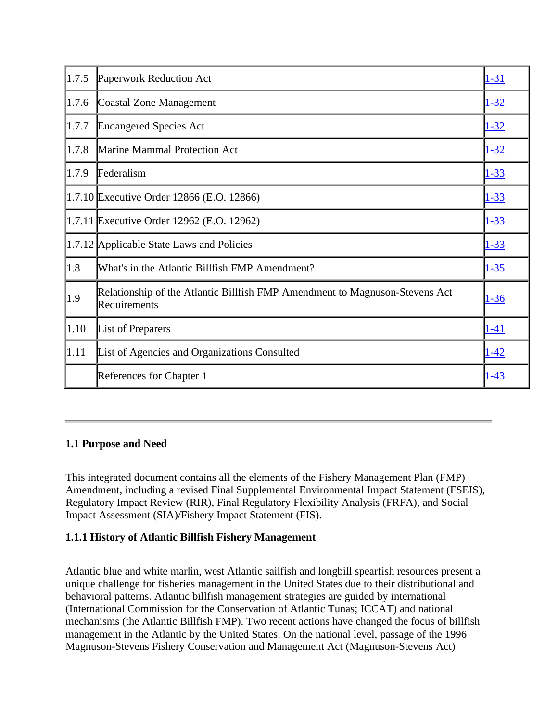| 1.7.5 | Paperwork Reduction Act                                                                     | $1 - 31$    |
|-------|---------------------------------------------------------------------------------------------|-------------|
| 1.7.6 | Coastal Zone Management                                                                     | $1 - 32$    |
| 1.7.7 | <b>Endangered Species Act</b>                                                               | $1 - 32$    |
| 1.7.8 | Marine Mammal Protection Act                                                                | $1 - 32$    |
| 1.7.9 | Federalism                                                                                  | $1 - 33$    |
|       | 1.7.10 Executive Order 12866 (E.O. 12866)                                                   | $1 - 33$    |
|       | 1.7.11 Executive Order 12962 (E.O. 12962)                                                   | $1 - 33$    |
|       | 1.7.12 Applicable State Laws and Policies                                                   | $1 - 33$    |
| 1.8   | What's in the Atlantic Billfish FMP Amendment?                                              | $1 - 35$    |
| 1.9   | Relationship of the Atlantic Billfish FMP Amendment to Magnuson-Stevens Act<br>Requirements | $1 - 36$    |
| 1.10  | List of Preparers                                                                           | <u>1-41</u> |
| 1.11  | List of Agencies and Organizations Consulted                                                | $1 - 42$    |
|       | References for Chapter 1                                                                    | $1 - 43$    |

## **1.1 Purpose and Need**

This integrated document contains all the elements of the Fishery Management Plan (FMP) Amendment, including a revised Final Supplemental Environmental Impact Statement (FSEIS), Regulatory Impact Review (RIR), Final Regulatory Flexibility Analysis (FRFA), and Social Impact Assessment (SIA)/Fishery Impact Statement (FIS).

# **1.1.1 History of Atlantic Billfish Fishery Management**

Atlantic blue and white marlin, west Atlantic sailfish and longbill spearfish resources present a unique challenge for fisheries management in the United States due to their distributional and behavioral patterns. Atlantic billfish management strategies are guided by international (International Commission for the Conservation of Atlantic Tunas; ICCAT) and national mechanisms (the Atlantic Billfish FMP). Two recent actions have changed the focus of billfish management in the Atlantic by the United States. On the national level, passage of the 1996 Magnuson-Stevens Fishery Conservation and Management Act (Magnuson-Stevens Act)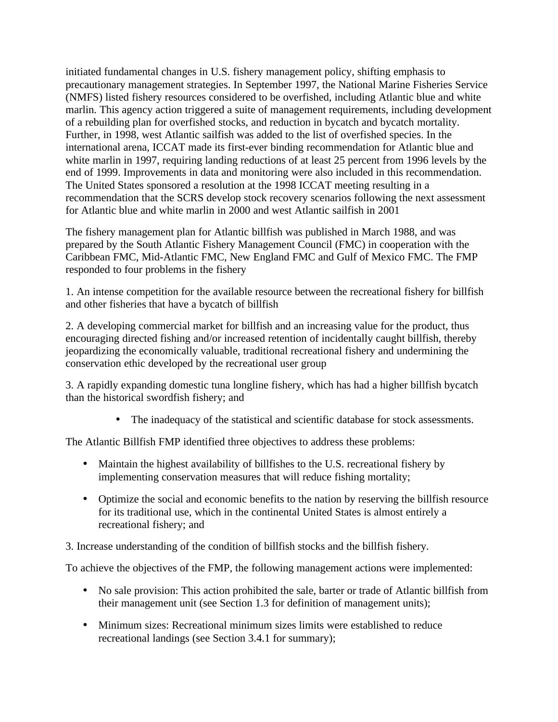initiated fundamental changes in U.S. fishery management policy, shifting emphasis to precautionary management strategies. In September 1997, the National Marine Fisheries Service (NMFS) listed fishery resources considered to be overfished, including Atlantic blue and white marlin. This agency action triggered a suite of management requirements, including development of a rebuilding plan for overfished stocks, and reduction in bycatch and bycatch mortality. Further, in 1998, west Atlantic sailfish was added to the list of overfished species. In the international arena, ICCAT made its first-ever binding recommendation for Atlantic blue and white marlin in 1997, requiring landing reductions of at least 25 percent from 1996 levels by the end of 1999. Improvements in data and monitoring were also included in this recommendation. The United States sponsored a resolution at the 1998 ICCAT meeting resulting in a recommendation that the SCRS develop stock recovery scenarios following the next assessment for Atlantic blue and white marlin in 2000 and west Atlantic sailfish in 2001

The fishery management plan for Atlantic billfish was published in March 1988, and was prepared by the South Atlantic Fishery Management Council (FMC) in cooperation with the Caribbean FMC, Mid-Atlantic FMC, New England FMC and Gulf of Mexico FMC. The FMP responded to four problems in the fishery

1. An intense competition for the available resource between the recreational fishery for billfish and other fisheries that have a bycatch of billfish

2. A developing commercial market for billfish and an increasing value for the product, thus encouraging directed fishing and/or increased retention of incidentally caught billfish, thereby jeopardizing the economically valuable, traditional recreational fishery and undermining the conservation ethic developed by the recreational user group

3. A rapidly expanding domestic tuna longline fishery, which has had a higher billfish bycatch than the historical swordfish fishery; and

• The inadequacy of the statistical and scientific database for stock assessments.

The Atlantic Billfish FMP identified three objectives to address these problems:

- Maintain the highest availability of billfishes to the U.S. recreational fishery by implementing conservation measures that will reduce fishing mortality;
- Optimize the social and economic benefits to the nation by reserving the billfish resource for its traditional use, which in the continental United States is almost entirely a recreational fishery; and
- 3. Increase understanding of the condition of billfish stocks and the billfish fishery.

To achieve the objectives of the FMP, the following management actions were implemented:

- No sale provision: This action prohibited the sale, barter or trade of Atlantic billfish from their management unit (see Section 1.3 for definition of management units);
- Minimum sizes: Recreational minimum sizes limits were established to reduce recreational landings (see Section 3.4.1 for summary);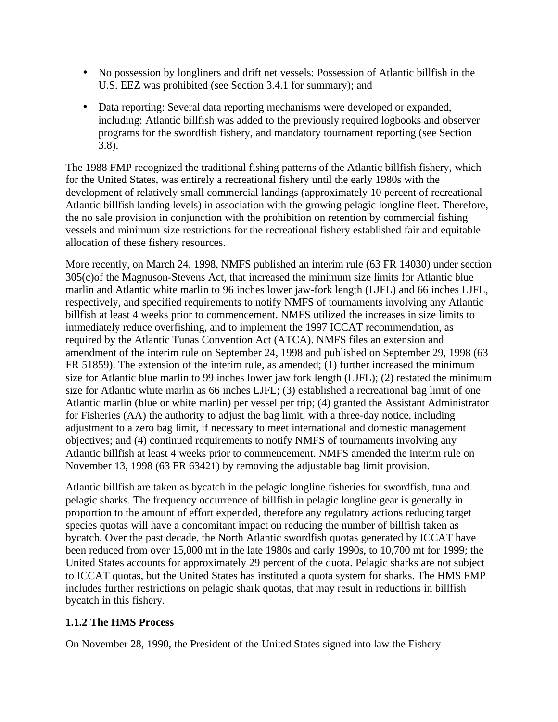- No possession by longliners and drift net vessels: Possession of Atlantic billfish in the U.S. EEZ was prohibited (see Section 3.4.1 for summary); and
- Data reporting: Several data reporting mechanisms were developed or expanded, including: Atlantic billfish was added to the previously required logbooks and observer programs for the swordfish fishery, and mandatory tournament reporting (see Section 3.8).

The 1988 FMP recognized the traditional fishing patterns of the Atlantic billfish fishery, which for the United States, was entirely a recreational fishery until the early 1980s with the development of relatively small commercial landings (approximately 10 percent of recreational Atlantic billfish landing levels) in association with the growing pelagic longline fleet. Therefore, the no sale provision in conjunction with the prohibition on retention by commercial fishing vessels and minimum size restrictions for the recreational fishery established fair and equitable allocation of these fishery resources.

More recently, on March 24, 1998, NMFS published an interim rule (63 FR 14030) under section 305(c)of the Magnuson-Stevens Act, that increased the minimum size limits for Atlantic blue marlin and Atlantic white marlin to 96 inches lower jaw-fork length (LJFL) and 66 inches LJFL, respectively, and specified requirements to notify NMFS of tournaments involving any Atlantic billfish at least 4 weeks prior to commencement. NMFS utilized the increases in size limits to immediately reduce overfishing, and to implement the 1997 ICCAT recommendation, as required by the Atlantic Tunas Convention Act (ATCA). NMFS files an extension and amendment of the interim rule on September 24, 1998 and published on September 29, 1998 (63 FR 51859). The extension of the interim rule, as amended; (1) further increased the minimum size for Atlantic blue marlin to 99 inches lower jaw fork length (LJFL); (2) restated the minimum size for Atlantic white marlin as 66 inches LJFL; (3) established a recreational bag limit of one Atlantic marlin (blue or white marlin) per vessel per trip; (4) granted the Assistant Administrator for Fisheries (AA) the authority to adjust the bag limit, with a three-day notice, including adjustment to a zero bag limit, if necessary to meet international and domestic management objectives; and (4) continued requirements to notify NMFS of tournaments involving any Atlantic billfish at least 4 weeks prior to commencement. NMFS amended the interim rule on November 13, 1998 (63 FR 63421) by removing the adjustable bag limit provision.

Atlantic billfish are taken as bycatch in the pelagic longline fisheries for swordfish, tuna and pelagic sharks. The frequency occurrence of billfish in pelagic longline gear is generally in proportion to the amount of effort expended, therefore any regulatory actions reducing target species quotas will have a concomitant impact on reducing the number of billfish taken as bycatch. Over the past decade, the North Atlantic swordfish quotas generated by ICCAT have been reduced from over 15,000 mt in the late 1980s and early 1990s, to 10,700 mt for 1999; the United States accounts for approximately 29 percent of the quota. Pelagic sharks are not subject to ICCAT quotas, but the United States has instituted a quota system for sharks. The HMS FMP includes further restrictions on pelagic shark quotas, that may result in reductions in billfish bycatch in this fishery.

## **1.1.2 The HMS Process**

On November 28, 1990, the President of the United States signed into law the Fishery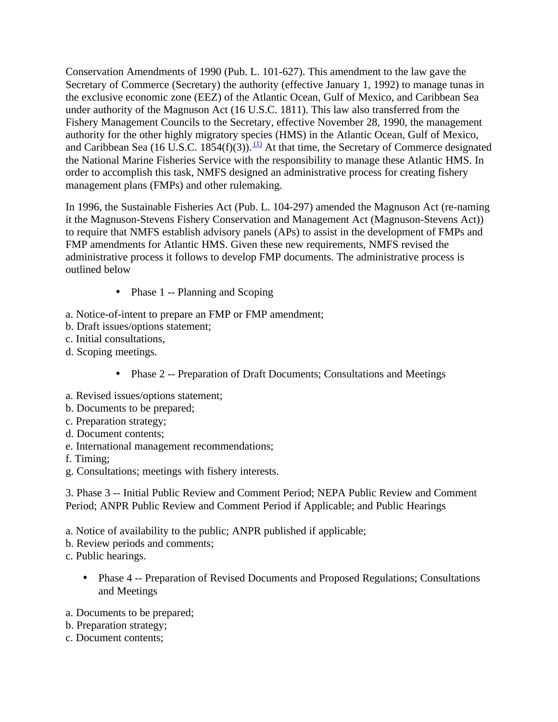Conservation Amendments of 1990 (Pub. L. 101-627). This amendment to the law gave the Secretary of Commerce (Secretary) the authority (effective January 1, 1992) to manage tunas in the exclusive economic zone (EEZ) of the Atlantic Ocean, Gulf of Mexico, and Caribbean Sea under authority of the Magnuson Act (16 U.S.C. 1811). This law also transferred from the Fishery Management Councils to the Secretary, effective November 28, 1990, the management authority for the other highly migratory species (HMS) in the Atlantic Ocean, Gulf of Mexico, and Caribbean Sea (16 U.S.C. 1854(f)(3)).  $\frac{(1)}{1}$  At that time, the Secretary of Commerce designated the National Marine Fisheries Service with the responsibility to manage these Atlantic HMS. In order to accomplish this task, NMFS designed an administrative process for creating fishery management plans (FMPs) and other rulemaking.

In 1996, the Sustainable Fisheries Act (Pub. L. 104-297) amended the Magnuson Act (re-naming it the Magnuson-Stevens Fishery Conservation and Management Act (Magnuson-Stevens Act)) to require that NMFS establish advisory panels (APs) to assist in the development of FMPs and FMP amendments for Atlantic HMS. Given these new requirements, NMFS revised the administrative process it follows to develop FMP documents. The administrative process is outlined below

- Phase 1 -- Planning and Scoping
- a. Notice-of-intent to prepare an FMP or FMP amendment;
- b. Draft issues/options statement;
- c. Initial consultations,
- d. Scoping meetings.
	- Phase 2 -- Preparation of Draft Documents; Consultations and Meetings
- a. Revised issues/options statement;
- b. Documents to be prepared;
- c. Preparation strategy;
- d. Document contents;
- e. International management recommendations;
- f. Timing;
- g. Consultations; meetings with fishery interests.

3. Phase 3 -- Initial Public Review and Comment Period; NEPA Public Review and Comment Period; ANPR Public Review and Comment Period if Applicable; and Public Hearings

- a. Notice of availability to the public; ANPR published if applicable;
- b. Review periods and comments;
- c. Public hearings.
	- Phase 4 -- Preparation of Revised Documents and Proposed Regulations; Consultations and Meetings
- a. Documents to be prepared;
- b. Preparation strategy;
- c. Document contents;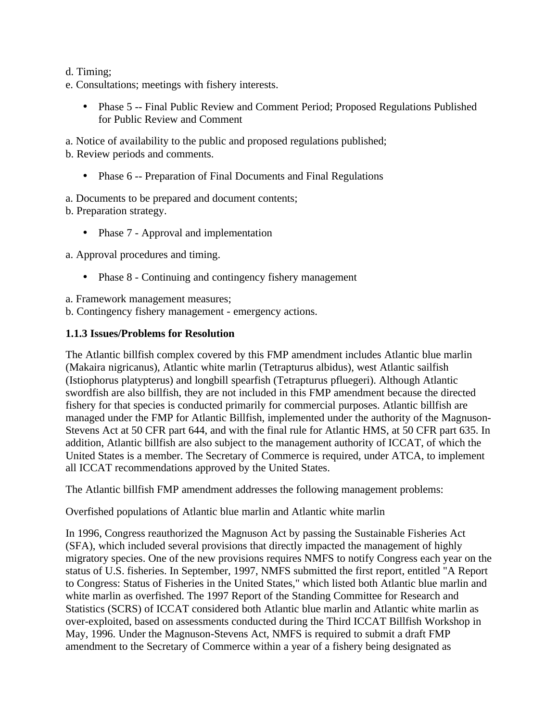d. Timing;

- e. Consultations; meetings with fishery interests.
	- Phase 5 -- Final Public Review and Comment Period; Proposed Regulations Published for Public Review and Comment

a. Notice of availability to the public and proposed regulations published; b. Review periods and comments.

• Phase 6 -- Preparation of Final Documents and Final Regulations

a. Documents to be prepared and document contents;

b. Preparation strategy.

• Phase 7 - Approval and implementation

a. Approval procedures and timing.

• Phase 8 - Continuing and contingency fishery management

a. Framework management measures;

b. Contingency fishery management - emergency actions.

#### **1.1.3 Issues/Problems for Resolution**

The Atlantic billfish complex covered by this FMP amendment includes Atlantic blue marlin (Makaira nigricanus), Atlantic white marlin (Tetrapturus albidus), west Atlantic sailfish (Istiophorus platypterus) and longbill spearfish (Tetrapturus pfluegeri). Although Atlantic swordfish are also billfish, they are not included in this FMP amendment because the directed fishery for that species is conducted primarily for commercial purposes. Atlantic billfish are managed under the FMP for Atlantic Billfish, implemented under the authority of the Magnuson-Stevens Act at 50 CFR part 644, and with the final rule for Atlantic HMS, at 50 CFR part 635. In addition, Atlantic billfish are also subject to the management authority of ICCAT, of which the United States is a member. The Secretary of Commerce is required, under ATCA, to implement all ICCAT recommendations approved by the United States.

The Atlantic billfish FMP amendment addresses the following management problems:

Overfished populations of Atlantic blue marlin and Atlantic white marlin

In 1996, Congress reauthorized the Magnuson Act by passing the Sustainable Fisheries Act (SFA), which included several provisions that directly impacted the management of highly migratory species. One of the new provisions requires NMFS to notify Congress each year on the status of U.S. fisheries. In September, 1997, NMFS submitted the first report, entitled "A Report to Congress: Status of Fisheries in the United States," which listed both Atlantic blue marlin and white marlin as overfished. The 1997 Report of the Standing Committee for Research and Statistics (SCRS) of ICCAT considered both Atlantic blue marlin and Atlantic white marlin as over-exploited, based on assessments conducted during the Third ICCAT Billfish Workshop in May, 1996. Under the Magnuson-Stevens Act, NMFS is required to submit a draft FMP amendment to the Secretary of Commerce within a year of a fishery being designated as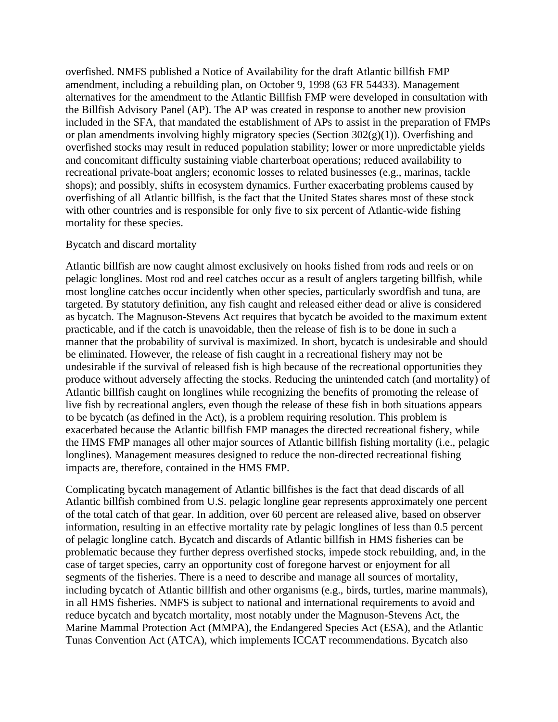overfished. NMFS published a Notice of Availability for the draft Atlantic billfish FMP amendment, including a rebuilding plan, on October 9, 1998 (63 FR 54433). Management alternatives for the amendment to the Atlantic Billfish FMP were developed in consultation with the Billfish Advisory Panel (AP). The AP was created in response to another new provision included in the SFA, that mandated the establishment of APs to assist in the preparation of FMPs or plan amendments involving highly migratory species (Section  $302(g)(1)$ ). Overfishing and overfished stocks may result in reduced population stability; lower or more unpredictable yields and concomitant difficulty sustaining viable charterboat operations; reduced availability to recreational private-boat anglers; economic losses to related businesses (e.g., marinas, tackle shops); and possibly, shifts in ecosystem dynamics. Further exacerbating problems caused by overfishing of all Atlantic billfish, is the fact that the United States shares most of these stock with other countries and is responsible for only five to six percent of Atlantic-wide fishing mortality for these species.

#### Bycatch and discard mortality

Atlantic billfish are now caught almost exclusively on hooks fished from rods and reels or on pelagic longlines. Most rod and reel catches occur as a result of anglers targeting billfish, while most longline catches occur incidently when other species, particularly swordfish and tuna, are targeted. By statutory definition, any fish caught and released either dead or alive is considered as bycatch. The Magnuson-Stevens Act requires that bycatch be avoided to the maximum extent practicable, and if the catch is unavoidable, then the release of fish is to be done in such a manner that the probability of survival is maximized. In short, bycatch is undesirable and should be eliminated. However, the release of fish caught in a recreational fishery may not be undesirable if the survival of released fish is high because of the recreational opportunities they produce without adversely affecting the stocks. Reducing the unintended catch (and mortality) of Atlantic billfish caught on longlines while recognizing the benefits of promoting the release of live fish by recreational anglers, even though the release of these fish in both situations appears to be bycatch (as defined in the Act), is a problem requiring resolution. This problem is exacerbated because the Atlantic billfish FMP manages the directed recreational fishery, while the HMS FMP manages all other major sources of Atlantic billfish fishing mortality (i.e., pelagic longlines). Management measures designed to reduce the non-directed recreational fishing impacts are, therefore, contained in the HMS FMP.

Complicating bycatch management of Atlantic billfishes is the fact that dead discards of all Atlantic billfish combined from U.S. pelagic longline gear represents approximately one percent of the total catch of that gear. In addition, over 60 percent are released alive, based on observer information, resulting in an effective mortality rate by pelagic longlines of less than 0.5 percent of pelagic longline catch. Bycatch and discards of Atlantic billfish in HMS fisheries can be problematic because they further depress overfished stocks, impede stock rebuilding, and, in the case of target species, carry an opportunity cost of foregone harvest or enjoyment for all segments of the fisheries. There is a need to describe and manage all sources of mortality, including bycatch of Atlantic billfish and other organisms (e.g., birds, turtles, marine mammals), in all HMS fisheries. NMFS is subject to national and international requirements to avoid and reduce bycatch and bycatch mortality, most notably under the Magnuson-Stevens Act, the Marine Mammal Protection Act (MMPA), the Endangered Species Act (ESA), and the Atlantic Tunas Convention Act (ATCA), which implements ICCAT recommendations. Bycatch also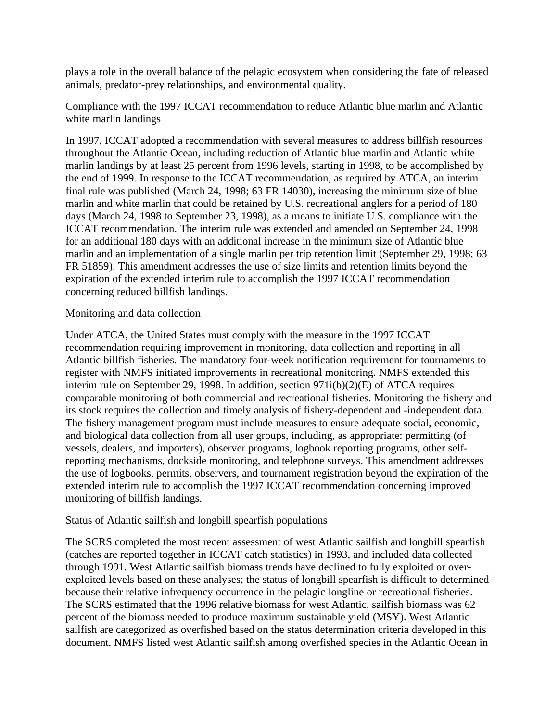plays a role in the overall balance of the pelagic ecosystem when considering the fate of released animals, predator-prey relationships, and environmental quality.

Compliance with the 1997 ICCAT recommendation to reduce Atlantic blue marlin and Atlantic white marlin landings

In 1997, ICCAT adopted a recommendation with several measures to address billfish resources throughout the Atlantic Ocean, including reduction of Atlantic blue marlin and Atlantic white marlin landings by at least 25 percent from 1996 levels, starting in 1998, to be accomplished by the end of 1999. In response to the ICCAT recommendation, as required by ATCA, an interim final rule was published (March 24, 1998; 63 FR 14030), increasing the minimum size of blue marlin and white marlin that could be retained by U.S. recreational anglers for a period of 180 days (March 24, 1998 to September 23, 1998), as a means to initiate U.S. compliance with the ICCAT recommendation. The interim rule was extended and amended on September 24, 1998 for an additional 180 days with an additional increase in the minimum size of Atlantic blue marlin and an implementation of a single marlin per trip retention limit (September 29, 1998; 63 FR 51859). This amendment addresses the use of size limits and retention limits beyond the expiration of the extended interim rule to accomplish the 1997 ICCAT recommendation concerning reduced billfish landings.

## Monitoring and data collection

Under ATCA, the United States must comply with the measure in the 1997 ICCAT recommendation requiring improvement in monitoring, data collection and reporting in all Atlantic billfish fisheries. The mandatory four-week notification requirement for tournaments to register with NMFS initiated improvements in recreational monitoring. NMFS extended this interim rule on September 29, 1998. In addition, section 971i(b)(2)(E) of ATCA requires comparable monitoring of both commercial and recreational fisheries. Monitoring the fishery and its stock requires the collection and timely analysis of fishery-dependent and -independent data. The fishery management program must include measures to ensure adequate social, economic, and biological data collection from all user groups, including, as appropriate: permitting (of vessels, dealers, and importers), observer programs, logbook reporting programs, other selfreporting mechanisms, dockside monitoring, and telephone surveys. This amendment addresses the use of logbooks, permits, observers, and tournament registration beyond the expiration of the extended interim rule to accomplish the 1997 ICCAT recommendation concerning improved monitoring of billfish landings.

## Status of Atlantic sailfish and longbill spearfish populations

The SCRS completed the most recent assessment of west Atlantic sailfish and longbill spearfish (catches are reported together in ICCAT catch statistics) in 1993, and included data collected through 1991. West Atlantic sailfish biomass trends have declined to fully exploited or overexploited levels based on these analyses; the status of longbill spearfish is difficult to determined because their relative infrequency occurrence in the pelagic longline or recreational fisheries. The SCRS estimated that the 1996 relative biomass for west Atlantic, sailfish biomass was 62 percent of the biomass needed to produce maximum sustainable yield (MSY). West Atlantic sailfish are categorized as overfished based on the status determination criteria developed in this document. NMFS listed west Atlantic sailfish among overfished species in the Atlantic Ocean in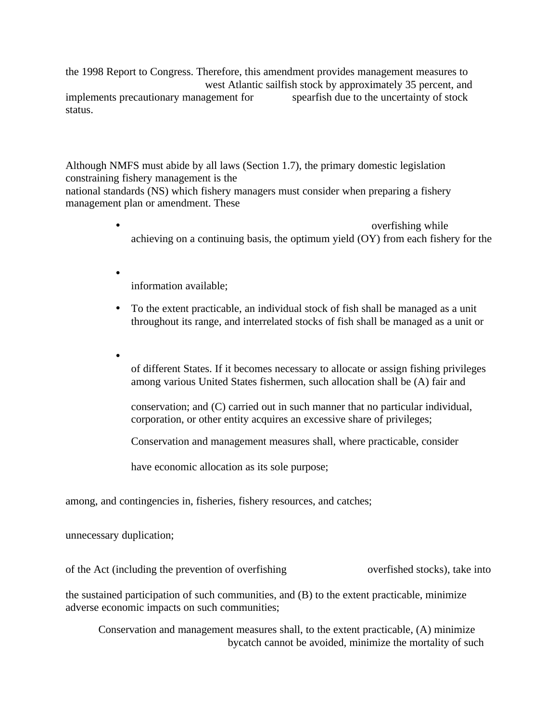the 1998 Report to Congress. Therefore, this amendment provides management measures to west Atlantic sailfish stock by approximately 35 percent, and<br>agement for spearfish due to the uncertainty of stock implements precautionary management for status.

Although NMFS must abide by all laws (Section 1.7), the primary domestic legislation constraining fishery management is the national standards (NS) which fishery managers must consider when preparing a fishery management plan or amendment. These

- overfishing while achieving on a continuing basis, the optimum yield (OY) from each fishery for the
- information available;
- To the extent practicable, an individual stock of fish shall be managed as a unit throughout its range, and interrelated stocks of fish shall be managed as a unit or
- of different States. If it becomes necessary to allocate or assign fishing privileges among various United States fishermen, such allocation shall be (A) fair and

conservation; and (C) carried out in such manner that no particular individual, corporation, or other entity acquires an excessive share of privileges;

Conservation and management measures shall, where practicable, consider

have economic allocation as its sole purpose;

among, and contingencies in, fisheries, fishery resources, and catches;

unnecessary duplication;

of the Act (including the prevention of overfishing overfished stocks), take into

the sustained participation of such communities, and (B) to the extent practicable, minimize adverse economic impacts on such communities;

Conservation and management measures shall, to the extent practicable, (A) minimize bycatch cannot be avoided, minimize the mortality of such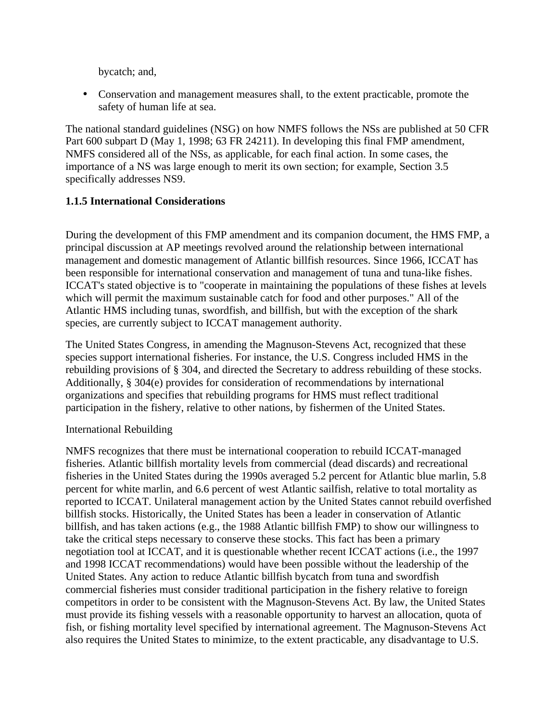bycatch; and,

• Conservation and management measures shall, to the extent practicable, promote the safety of human life at sea.

The national standard guidelines (NSG) on how NMFS follows the NSs are published at 50 CFR Part 600 subpart D (May 1, 1998; 63 FR 24211). In developing this final FMP amendment, NMFS considered all of the NSs, as applicable, for each final action. In some cases, the importance of a NS was large enough to merit its own section; for example, Section 3.5 specifically addresses NS9.

## **1.1.5 International Considerations**

During the development of this FMP amendment and its companion document, the HMS FMP, a principal discussion at AP meetings revolved around the relationship between international management and domestic management of Atlantic billfish resources. Since 1966, ICCAT has been responsible for international conservation and management of tuna and tuna-like fishes. ICCAT's stated objective is to "cooperate in maintaining the populations of these fishes at levels which will permit the maximum sustainable catch for food and other purposes." All of the Atlantic HMS including tunas, swordfish, and billfish, but with the exception of the shark species, are currently subject to ICCAT management authority.

The United States Congress, in amending the Magnuson-Stevens Act, recognized that these species support international fisheries. For instance, the U.S. Congress included HMS in the rebuilding provisions of § 304, and directed the Secretary to address rebuilding of these stocks. Additionally, § 304(e) provides for consideration of recommendations by international organizations and specifies that rebuilding programs for HMS must reflect traditional participation in the fishery, relative to other nations, by fishermen of the United States.

## International Rebuilding

NMFS recognizes that there must be international cooperation to rebuild ICCAT-managed fisheries. Atlantic billfish mortality levels from commercial (dead discards) and recreational fisheries in the United States during the 1990s averaged 5.2 percent for Atlantic blue marlin, 5.8 percent for white marlin, and 6.6 percent of west Atlantic sailfish, relative to total mortality as reported to ICCAT. Unilateral management action by the United States cannot rebuild overfished billfish stocks. Historically, the United States has been a leader in conservation of Atlantic billfish, and has taken actions (e.g., the 1988 Atlantic billfish FMP) to show our willingness to take the critical steps necessary to conserve these stocks. This fact has been a primary negotiation tool at ICCAT, and it is questionable whether recent ICCAT actions (i.e., the 1997 and 1998 ICCAT recommendations) would have been possible without the leadership of the United States. Any action to reduce Atlantic billfish bycatch from tuna and swordfish commercial fisheries must consider traditional participation in the fishery relative to foreign competitors in order to be consistent with the Magnuson-Stevens Act. By law, the United States must provide its fishing vessels with a reasonable opportunity to harvest an allocation, quota of fish, or fishing mortality level specified by international agreement. The Magnuson-Stevens Act also requires the United States to minimize, to the extent practicable, any disadvantage to U.S.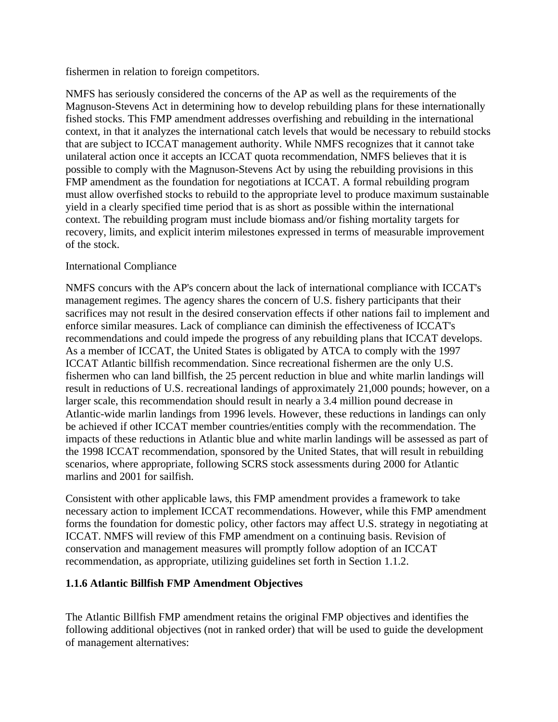fishermen in relation to foreign competitors.

NMFS has seriously considered the concerns of the AP as well as the requirements of the Magnuson-Stevens Act in determining how to develop rebuilding plans for these internationally fished stocks. This FMP amendment addresses overfishing and rebuilding in the international context, in that it analyzes the international catch levels that would be necessary to rebuild stocks that are subject to ICCAT management authority. While NMFS recognizes that it cannot take unilateral action once it accepts an ICCAT quota recommendation, NMFS believes that it is possible to comply with the Magnuson-Stevens Act by using the rebuilding provisions in this FMP amendment as the foundation for negotiations at ICCAT. A formal rebuilding program must allow overfished stocks to rebuild to the appropriate level to produce maximum sustainable yield in a clearly specified time period that is as short as possible within the international context. The rebuilding program must include biomass and/or fishing mortality targets for recovery, limits, and explicit interim milestones expressed in terms of measurable improvement of the stock.

## International Compliance

NMFS concurs with the AP's concern about the lack of international compliance with ICCAT's management regimes. The agency shares the concern of U.S. fishery participants that their sacrifices may not result in the desired conservation effects if other nations fail to implement and enforce similar measures. Lack of compliance can diminish the effectiveness of ICCAT's recommendations and could impede the progress of any rebuilding plans that ICCAT develops. As a member of ICCAT, the United States is obligated by ATCA to comply with the 1997 ICCAT Atlantic billfish recommendation. Since recreational fishermen are the only U.S. fishermen who can land billfish, the 25 percent reduction in blue and white marlin landings will result in reductions of U.S. recreational landings of approximately 21,000 pounds; however, on a larger scale, this recommendation should result in nearly a 3.4 million pound decrease in Atlantic-wide marlin landings from 1996 levels. However, these reductions in landings can only be achieved if other ICCAT member countries/entities comply with the recommendation. The impacts of these reductions in Atlantic blue and white marlin landings will be assessed as part of the 1998 ICCAT recommendation, sponsored by the United States, that will result in rebuilding scenarios, where appropriate, following SCRS stock assessments during 2000 for Atlantic marlins and 2001 for sailfish.

Consistent with other applicable laws, this FMP amendment provides a framework to take necessary action to implement ICCAT recommendations. However, while this FMP amendment forms the foundation for domestic policy, other factors may affect U.S. strategy in negotiating at ICCAT. NMFS will review of this FMP amendment on a continuing basis. Revision of conservation and management measures will promptly follow adoption of an ICCAT recommendation, as appropriate, utilizing guidelines set forth in Section 1.1.2.

## **1.1.6 Atlantic Billfish FMP Amendment Objectives**

The Atlantic Billfish FMP amendment retains the original FMP objectives and identifies the following additional objectives (not in ranked order) that will be used to guide the development of management alternatives: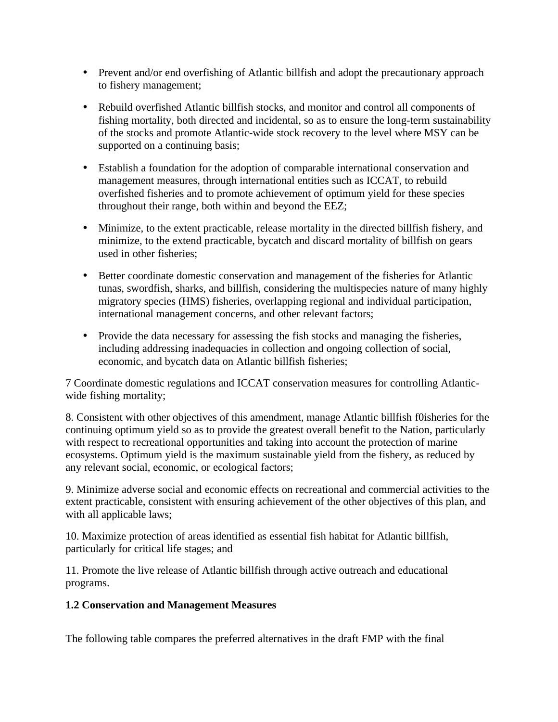- Prevent and/or end overfishing of Atlantic billfish and adopt the precautionary approach to fishery management;
- Rebuild overfished Atlantic billfish stocks, and monitor and control all components of fishing mortality, both directed and incidental, so as to ensure the long-term sustainability of the stocks and promote Atlantic-wide stock recovery to the level where MSY can be supported on a continuing basis;
- Establish a foundation for the adoption of comparable international conservation and management measures, through international entities such as ICCAT, to rebuild overfished fisheries and to promote achievement of optimum yield for these species throughout their range, both within and beyond the EEZ;
- Minimize, to the extent practicable, release mortality in the directed bill fishery, and minimize, to the extend practicable, bycatch and discard mortality of billfish on gears used in other fisheries;
- Better coordinate domestic conservation and management of the fisheries for Atlantic tunas, swordfish, sharks, and billfish, considering the multispecies nature of many highly migratory species (HMS) fisheries, overlapping regional and individual participation, international management concerns, and other relevant factors;
- Provide the data necessary for assessing the fish stocks and managing the fisheries, including addressing inadequacies in collection and ongoing collection of social, economic, and bycatch data on Atlantic billfish fisheries;

7 Coordinate domestic regulations and ICCAT conservation measures for controlling Atlanticwide fishing mortality;

8. Consistent with other objectives of this amendment, manage Atlantic billfish f0isheries for the continuing optimum yield so as to provide the greatest overall benefit to the Nation, particularly with respect to recreational opportunities and taking into account the protection of marine ecosystems. Optimum yield is the maximum sustainable yield from the fishery, as reduced by any relevant social, economic, or ecological factors;

9. Minimize adverse social and economic effects on recreational and commercial activities to the extent practicable, consistent with ensuring achievement of the other objectives of this plan, and with all applicable laws;

10. Maximize protection of areas identified as essential fish habitat for Atlantic billfish, particularly for critical life stages; and

11. Promote the live release of Atlantic billfish through active outreach and educational programs.

## **1.2 Conservation and Management Measures**

The following table compares the preferred alternatives in the draft FMP with the final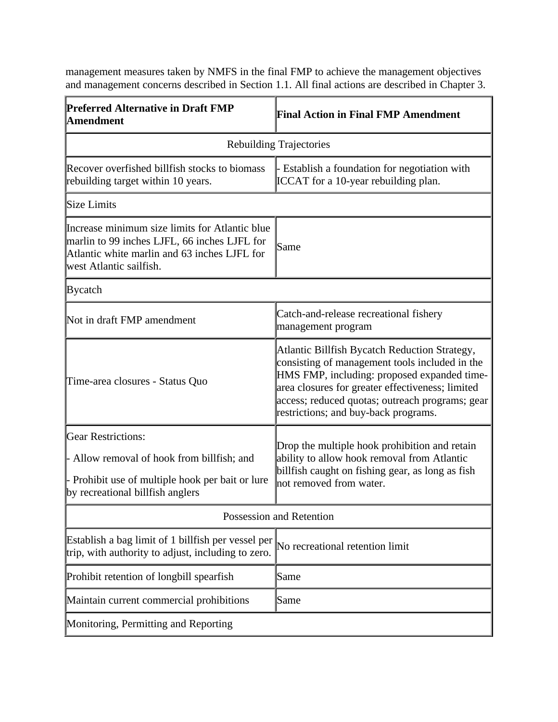management measures taken by NMFS in the final FMP to achieve the management objectives and management concerns described in Section 1.1. All final actions are described in Chapter 3.

| <b>Preferred Alternative in Draft FMP</b><br><b>Amendment</b>                                                                                                             | <b>Final Action in Final FMP Amendment</b>                                                                                                                                                                                                                                                    |  |  |  |  |
|---------------------------------------------------------------------------------------------------------------------------------------------------------------------------|-----------------------------------------------------------------------------------------------------------------------------------------------------------------------------------------------------------------------------------------------------------------------------------------------|--|--|--|--|
| <b>Rebuilding Trajectories</b>                                                                                                                                            |                                                                                                                                                                                                                                                                                               |  |  |  |  |
| Recover overfished billfish stocks to biomass<br>rebuilding target within 10 years.                                                                                       | Establish a foundation for negotiation with<br><b>ICCAT</b> for a 10-year rebuilding plan.                                                                                                                                                                                                    |  |  |  |  |
| Size Limits                                                                                                                                                               |                                                                                                                                                                                                                                                                                               |  |  |  |  |
| Increase minimum size limits for Atlantic blue<br>marlin to 99 inches LJFL, 66 inches LJFL for<br>Atlantic white marlin and 63 inches LJFL for<br>west Atlantic sailfish. | Same                                                                                                                                                                                                                                                                                          |  |  |  |  |
| Bycatch                                                                                                                                                                   |                                                                                                                                                                                                                                                                                               |  |  |  |  |
| Not in draft FMP amendment                                                                                                                                                | Catch-and-release recreational fishery<br>management program                                                                                                                                                                                                                                  |  |  |  |  |
| Time-area closures - Status Quo                                                                                                                                           | Atlantic Billfish Bycatch Reduction Strategy,<br>consisting of management tools included in the<br>HMS FMP, including: proposed expanded time-<br>area closures for greater effectiveness; limited<br>access; reduced quotas; outreach programs; gear<br>restrictions; and buy-back programs. |  |  |  |  |
| <b>Gear Restrictions:</b><br>Allow removal of hook from billfish; and<br>- Prohibit use of multiple hook per bait or lure<br>by recreational billfish anglers             | Drop the multiple hook prohibition and retain<br>ability to allow hook removal from Atlantic<br>billfish caught on fishing gear, as long as fish<br>not removed from water.                                                                                                                   |  |  |  |  |
| Possession and Retention                                                                                                                                                  |                                                                                                                                                                                                                                                                                               |  |  |  |  |
| Establish a bag limit of 1 billfish per vessel per<br>trip, with authority to adjust, including to zero.                                                                  | No recreational retention limit                                                                                                                                                                                                                                                               |  |  |  |  |
| Prohibit retention of longbill spearfish                                                                                                                                  | Same                                                                                                                                                                                                                                                                                          |  |  |  |  |
| Maintain current commercial prohibitions                                                                                                                                  | Same                                                                                                                                                                                                                                                                                          |  |  |  |  |
| Monitoring, Permitting and Reporting                                                                                                                                      |                                                                                                                                                                                                                                                                                               |  |  |  |  |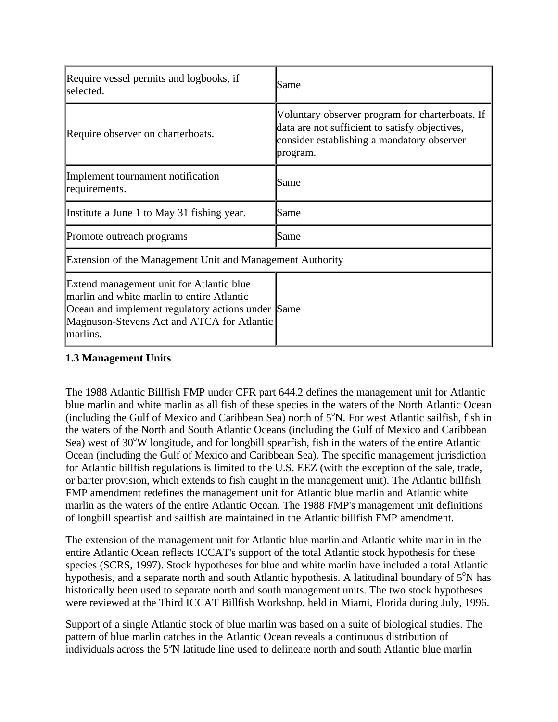| Require vessel permits and logbooks, if<br>selected.                                                                                                                                                  | Same                                                                                                                                                        |  |  |
|-------------------------------------------------------------------------------------------------------------------------------------------------------------------------------------------------------|-------------------------------------------------------------------------------------------------------------------------------------------------------------|--|--|
| Require observer on charterboats.                                                                                                                                                                     | Voluntary observer program for charterboats. If<br>data are not sufficient to satisfy objectives,<br>consider establishing a mandatory observer<br>program. |  |  |
| Implement tournament notification<br>requirements.                                                                                                                                                    | Same                                                                                                                                                        |  |  |
| Institute a June 1 to May 31 fishing year.                                                                                                                                                            | Same                                                                                                                                                        |  |  |
| Promote outreach programs                                                                                                                                                                             | Same                                                                                                                                                        |  |  |
| Extension of the Management Unit and Management Authority                                                                                                                                             |                                                                                                                                                             |  |  |
| Extend management unit for Atlantic blue<br>marlin and white marlin to entire Atlantic<br>Ocean and implement regulatory actions under Same<br>Magnuson-Stevens Act and ATCA for Atlantic<br>marlins. |                                                                                                                                                             |  |  |

## **1.3 Management Units**

The 1988 Atlantic Billfish FMP under CFR part 644.2 defines the management unit for Atlantic blue marlin and white marlin as all fish of these species in the waters of the North Atlantic Ocean (including the Gulf of Mexico and Caribbean Sea) north of  $5^\circ$ N. For west Atlantic sailfish, fish in the waters of the North and South Atlantic Oceans (including the Gulf of Mexico and Caribbean Sea) west of 30°W longitude, and for longbill spearfish, fish in the waters of the entire Atlantic Ocean (including the Gulf of Mexico and Caribbean Sea). The specific management jurisdiction for Atlantic billfish regulations is limited to the U.S. EEZ (with the exception of the sale, trade, or barter provision, which extends to fish caught in the management unit). The Atlantic billfish FMP amendment redefines the management unit for Atlantic blue marlin and Atlantic white marlin as the waters of the entire Atlantic Ocean. The 1988 FMP's management unit definitions of longbill spearfish and sailfish are maintained in the Atlantic billfish FMP amendment.

The extension of the management unit for Atlantic blue marlin and Atlantic white marlin in the entire Atlantic Ocean reflects ICCAT's support of the total Atlantic stock hypothesis for these species (SCRS, 1997). Stock hypotheses for blue and white marlin have included a total Atlantic hypothesis, and a separate north and south Atlantic hypothesis. A latitudinal boundary of 5°N has historically been used to separate north and south management units. The two stock hypotheses were reviewed at the Third ICCAT Billfish Workshop, held in Miami, Florida during July, 1996.

Support of a single Atlantic stock of blue marlin was based on a suite of biological studies. The pattern of blue marlin catches in the Atlantic Ocean reveals a continuous distribution of individuals across the 5<sup>o</sup>N latitude line used to delineate north and south Atlantic blue marlin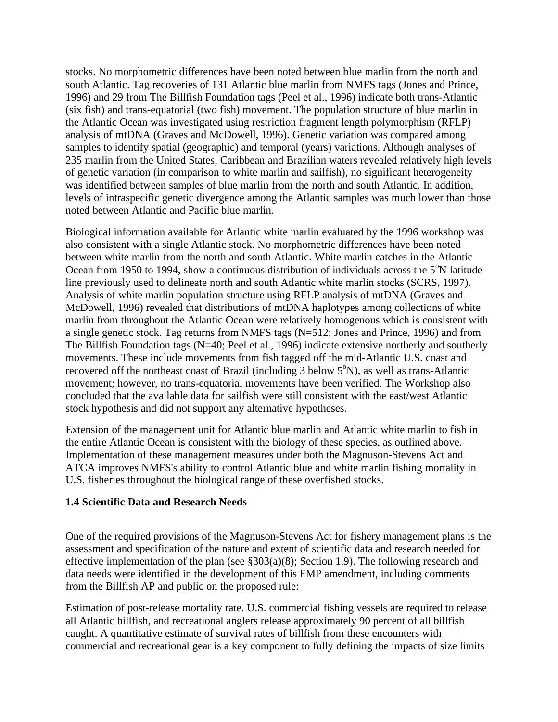stocks. No morphometric differences have been noted between blue marlin from the north and south Atlantic. Tag recoveries of 131 Atlantic blue marlin from NMFS tags (Jones and Prince, 1996) and 29 from The Billfish Foundation tags (Peel et al., 1996) indicate both trans-Atlantic (six fish) and trans-equatorial (two fish) movement. The population structure of blue marlin in the Atlantic Ocean was investigated using restriction fragment length polymorphism (RFLP) analysis of mtDNA (Graves and McDowell, 1996). Genetic variation was compared among samples to identify spatial (geographic) and temporal (years) variations. Although analyses of 235 marlin from the United States, Caribbean and Brazilian waters revealed relatively high levels of genetic variation (in comparison to white marlin and sailfish), no significant heterogeneity was identified between samples of blue marlin from the north and south Atlantic. In addition, levels of intraspecific genetic divergence among the Atlantic samples was much lower than those noted between Atlantic and Pacific blue marlin.

Biological information available for Atlantic white marlin evaluated by the 1996 workshop was also consistent with a single Atlantic stock. No morphometric differences have been noted between white marlin from the north and south Atlantic. White marlin catches in the Atlantic Ocean from 1950 to 1994, show a continuous distribution of individuals across the  $5^\circ N$  latitude line previously used to delineate north and south Atlantic white marlin stocks (SCRS, 1997). Analysis of white marlin population structure using RFLP analysis of mtDNA (Graves and McDowell, 1996) revealed that distributions of mtDNA haplotypes among collections of white marlin from throughout the Atlantic Ocean were relatively homogenous which is consistent with a single genetic stock. Tag returns from NMFS tags (N=512; Jones and Prince, 1996) and from The Billfish Foundation tags (N=40; Peel et al., 1996) indicate extensive northerly and southerly movements. These include movements from fish tagged off the mid-Atlantic U.S. coast and recovered off the northeast coast of Brazil (including  $3$  below  $5^{\circ}$ N), as well as trans-Atlantic movement; however, no trans-equatorial movements have been verified. The Workshop also concluded that the available data for sailfish were still consistent with the east/west Atlantic stock hypothesis and did not support any alternative hypotheses.

Extension of the management unit for Atlantic blue marlin and Atlantic white marlin to fish in the entire Atlantic Ocean is consistent with the biology of these species, as outlined above. Implementation of these management measures under both the Magnuson-Stevens Act and ATCA improves NMFS's ability to control Atlantic blue and white marlin fishing mortality in U.S. fisheries throughout the biological range of these overfished stocks.

## **1.4 Scientific Data and Research Needs**

One of the required provisions of the Magnuson-Stevens Act for fishery management plans is the assessment and specification of the nature and extent of scientific data and research needed for effective implementation of the plan (see §303(a)(8); Section 1.9). The following research and data needs were identified in the development of this FMP amendment, including comments from the Billfish AP and public on the proposed rule:

Estimation of post-release mortality rate. U.S. commercial fishing vessels are required to release all Atlantic billfish, and recreational anglers release approximately 90 percent of all billfish caught. A quantitative estimate of survival rates of billfish from these encounters with commercial and recreational gear is a key component to fully defining the impacts of size limits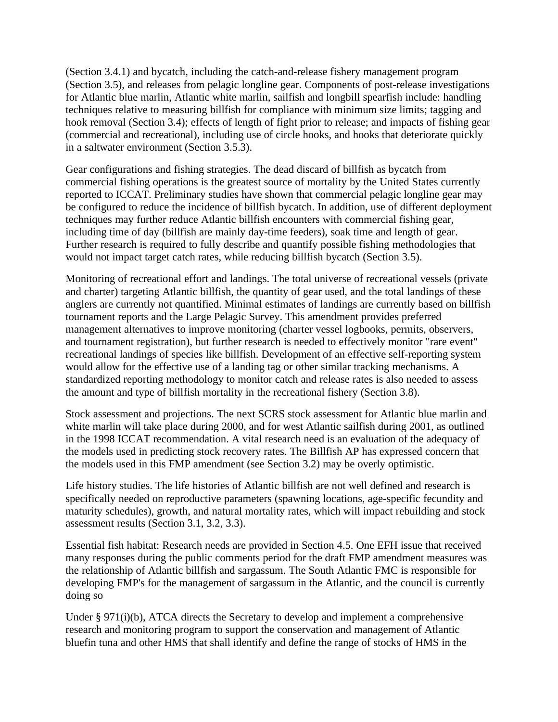(Section 3.4.1) and bycatch, including the catch-and-release fishery management program (Section 3.5), and releases from pelagic longline gear. Components of post-release investigations for Atlantic blue marlin, Atlantic white marlin, sailfish and longbill spearfish include: handling techniques relative to measuring billfish for compliance with minimum size limits; tagging and hook removal (Section 3.4); effects of length of fight prior to release; and impacts of fishing gear (commercial and recreational), including use of circle hooks, and hooks that deteriorate quickly in a saltwater environment (Section 3.5.3).

Gear configurations and fishing strategies. The dead discard of billfish as bycatch from commercial fishing operations is the greatest source of mortality by the United States currently reported to ICCAT. Preliminary studies have shown that commercial pelagic longline gear may be configured to reduce the incidence of billfish bycatch. In addition, use of different deployment techniques may further reduce Atlantic billfish encounters with commercial fishing gear, including time of day (billfish are mainly day-time feeders), soak time and length of gear. Further research is required to fully describe and quantify possible fishing methodologies that would not impact target catch rates, while reducing billfish bycatch (Section 3.5).

Monitoring of recreational effort and landings. The total universe of recreational vessels (private and charter) targeting Atlantic billfish, the quantity of gear used, and the total landings of these anglers are currently not quantified. Minimal estimates of landings are currently based on billfish tournament reports and the Large Pelagic Survey. This amendment provides preferred management alternatives to improve monitoring (charter vessel logbooks, permits, observers, and tournament registration), but further research is needed to effectively monitor "rare event" recreational landings of species like billfish. Development of an effective self-reporting system would allow for the effective use of a landing tag or other similar tracking mechanisms. A standardized reporting methodology to monitor catch and release rates is also needed to assess the amount and type of billfish mortality in the recreational fishery (Section 3.8).

Stock assessment and projections. The next SCRS stock assessment for Atlantic blue marlin and white marlin will take place during 2000, and for west Atlantic sailfish during 2001, as outlined in the 1998 ICCAT recommendation. A vital research need is an evaluation of the adequacy of the models used in predicting stock recovery rates. The Billfish AP has expressed concern that the models used in this FMP amendment (see Section 3.2) may be overly optimistic.

Life history studies. The life histories of Atlantic billfish are not well defined and research is specifically needed on reproductive parameters (spawning locations, age-specific fecundity and maturity schedules), growth, and natural mortality rates, which will impact rebuilding and stock assessment results (Section 3.1, 3.2, 3.3).

Essential fish habitat: Research needs are provided in Section 4.5. One EFH issue that received many responses during the public comments period for the draft FMP amendment measures was the relationship of Atlantic billfish and sargassum. The South Atlantic FMC is responsible for developing FMP's for the management of sargassum in the Atlantic, and the council is currently doing so

Under § 971(i)(b), ATCA directs the Secretary to develop and implement a comprehensive research and monitoring program to support the conservation and management of Atlantic bluefin tuna and other HMS that shall identify and define the range of stocks of HMS in the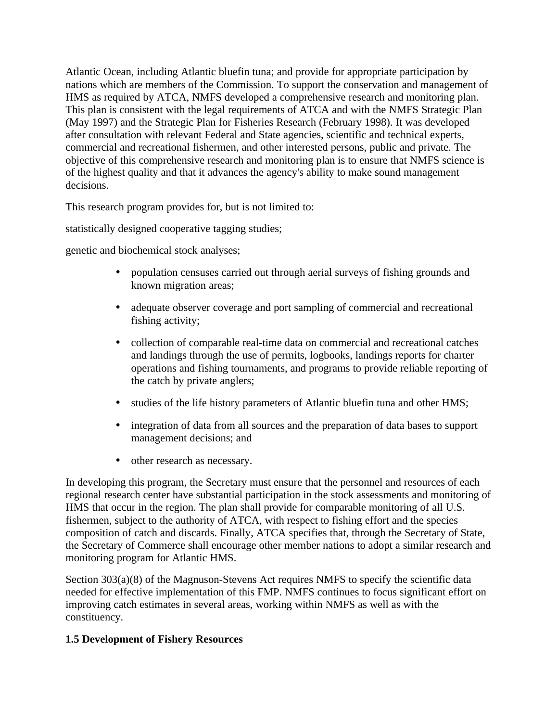Atlantic Ocean, including Atlantic bluefin tuna; and provide for appropriate participation by nations which are members of the Commission. To support the conservation and management of HMS as required by ATCA, NMFS developed a comprehensive research and monitoring plan. This plan is consistent with the legal requirements of ATCA and with the NMFS Strategic Plan (May 1997) and the Strategic Plan for Fisheries Research (February 1998). It was developed after consultation with relevant Federal and State agencies, scientific and technical experts, commercial and recreational fishermen, and other interested persons, public and private. The objective of this comprehensive research and monitoring plan is to ensure that NMFS science is of the highest quality and that it advances the agency's ability to make sound management decisions.

This research program provides for, but is not limited to:

statistically designed cooperative tagging studies;

genetic and biochemical stock analyses;

- population censuses carried out through aerial surveys of fishing grounds and known migration areas;
- adequate observer coverage and port sampling of commercial and recreational fishing activity;
- collection of comparable real-time data on commercial and recreational catches and landings through the use of permits, logbooks, landings reports for charter operations and fishing tournaments, and programs to provide reliable reporting of the catch by private anglers;
- studies of the life history parameters of Atlantic bluefin tuna and other HMS;
- integration of data from all sources and the preparation of data bases to support management decisions; and
- other research as necessary.

In developing this program, the Secretary must ensure that the personnel and resources of each regional research center have substantial participation in the stock assessments and monitoring of HMS that occur in the region. The plan shall provide for comparable monitoring of all U.S. fishermen, subject to the authority of ATCA, with respect to fishing effort and the species composition of catch and discards. Finally, ATCA specifies that, through the Secretary of State, the Secretary of Commerce shall encourage other member nations to adopt a similar research and monitoring program for Atlantic HMS.

Section 303(a)(8) of the Magnuson-Stevens Act requires NMFS to specify the scientific data needed for effective implementation of this FMP. NMFS continues to focus significant effort on improving catch estimates in several areas, working within NMFS as well as with the constituency.

## **1.5 Development of Fishery Resources**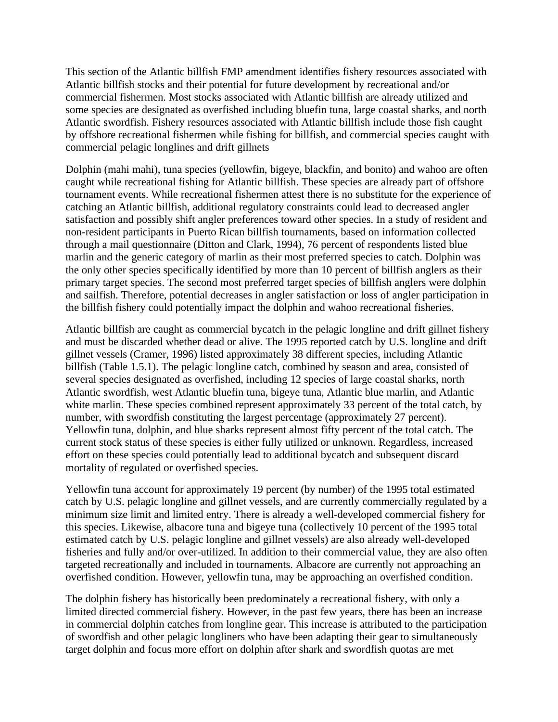This section of the Atlantic billfish FMP amendment identifies fishery resources associated with Atlantic billfish stocks and their potential for future development by recreational and/or commercial fishermen. Most stocks associated with Atlantic billfish are already utilized and some species are designated as overfished including bluefin tuna, large coastal sharks, and north Atlantic swordfish. Fishery resources associated with Atlantic billfish include those fish caught by offshore recreational fishermen while fishing for billfish, and commercial species caught with commercial pelagic longlines and drift gillnets

Dolphin (mahi mahi), tuna species (yellowfin, bigeye, blackfin, and bonito) and wahoo are often caught while recreational fishing for Atlantic billfish. These species are already part of offshore tournament events. While recreational fishermen attest there is no substitute for the experience of catching an Atlantic billfish, additional regulatory constraints could lead to decreased angler satisfaction and possibly shift angler preferences toward other species. In a study of resident and non-resident participants in Puerto Rican billfish tournaments, based on information collected through a mail questionnaire (Ditton and Clark, 1994), 76 percent of respondents listed blue marlin and the generic category of marlin as their most preferred species to catch. Dolphin was the only other species specifically identified by more than 10 percent of billfish anglers as their primary target species. The second most preferred target species of billfish anglers were dolphin and sailfish. Therefore, potential decreases in angler satisfaction or loss of angler participation in the billfish fishery could potentially impact the dolphin and wahoo recreational fisheries.

Atlantic billfish are caught as commercial bycatch in the pelagic longline and drift gillnet fishery and must be discarded whether dead or alive. The 1995 reported catch by U.S. longline and drift gillnet vessels (Cramer, 1996) listed approximately 38 different species, including Atlantic billfish (Table 1.5.1). The pelagic longline catch, combined by season and area, consisted of several species designated as overfished, including 12 species of large coastal sharks, north Atlantic swordfish, west Atlantic bluefin tuna, bigeye tuna, Atlantic blue marlin, and Atlantic white marlin. These species combined represent approximately 33 percent of the total catch, by number, with swordfish constituting the largest percentage (approximately 27 percent). Yellowfin tuna, dolphin, and blue sharks represent almost fifty percent of the total catch. The current stock status of these species is either fully utilized or unknown. Regardless, increased effort on these species could potentially lead to additional bycatch and subsequent discard mortality of regulated or overfished species.

Yellowfin tuna account for approximately 19 percent (by number) of the 1995 total estimated catch by U.S. pelagic longline and gillnet vessels, and are currently commercially regulated by a minimum size limit and limited entry. There is already a well-developed commercial fishery for this species. Likewise, albacore tuna and bigeye tuna (collectively 10 percent of the 1995 total estimated catch by U.S. pelagic longline and gillnet vessels) are also already well-developed fisheries and fully and/or over-utilized. In addition to their commercial value, they are also often targeted recreationally and included in tournaments. Albacore are currently not approaching an overfished condition. However, yellowfin tuna, may be approaching an overfished condition.

The dolphin fishery has historically been predominately a recreational fishery, with only a limited directed commercial fishery. However, in the past few years, there has been an increase in commercial dolphin catches from longline gear. This increase is attributed to the participation of swordfish and other pelagic longliners who have been adapting their gear to simultaneously target dolphin and focus more effort on dolphin after shark and swordfish quotas are met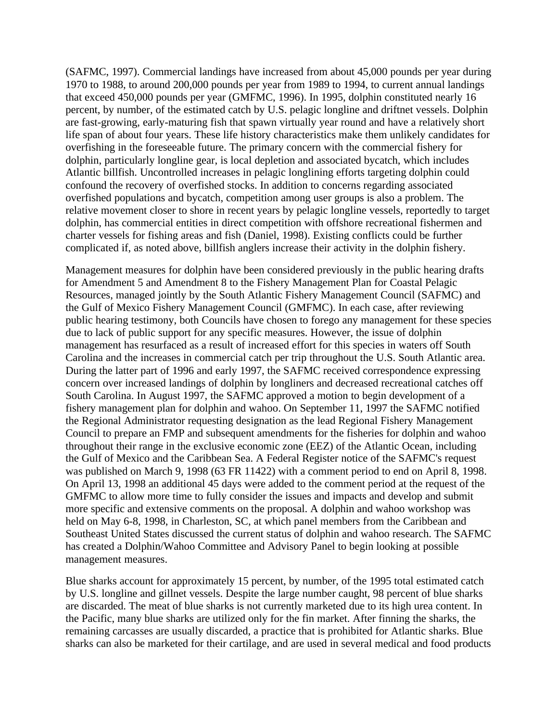(SAFMC, 1997). Commercial landings have increased from about 45,000 pounds per year during 1970 to 1988, to around 200,000 pounds per year from 1989 to 1994, to current annual landings that exceed 450,000 pounds per year (GMFMC, 1996). In 1995, dolphin constituted nearly 16 percent, by number, of the estimated catch by U.S. pelagic longline and driftnet vessels. Dolphin are fast-growing, early-maturing fish that spawn virtually year round and have a relatively short life span of about four years. These life history characteristics make them unlikely candidates for overfishing in the foreseeable future. The primary concern with the commercial fishery for dolphin, particularly longline gear, is local depletion and associated bycatch, which includes Atlantic billfish. Uncontrolled increases in pelagic longlining efforts targeting dolphin could confound the recovery of overfished stocks. In addition to concerns regarding associated overfished populations and bycatch, competition among user groups is also a problem. The relative movement closer to shore in recent years by pelagic longline vessels, reportedly to target dolphin, has commercial entities in direct competition with offshore recreational fishermen and charter vessels for fishing areas and fish (Daniel, 1998). Existing conflicts could be further complicated if, as noted above, billfish anglers increase their activity in the dolphin fishery.

Management measures for dolphin have been considered previously in the public hearing drafts for Amendment 5 and Amendment 8 to the Fishery Management Plan for Coastal Pelagic Resources, managed jointly by the South Atlantic Fishery Management Council (SAFMC) and the Gulf of Mexico Fishery Management Council (GMFMC). In each case, after reviewing public hearing testimony, both Councils have chosen to forego any management for these species due to lack of public support for any specific measures. However, the issue of dolphin management has resurfaced as a result of increased effort for this species in waters off South Carolina and the increases in commercial catch per trip throughout the U.S. South Atlantic area. During the latter part of 1996 and early 1997, the SAFMC received correspondence expressing concern over increased landings of dolphin by longliners and decreased recreational catches off South Carolina. In August 1997, the SAFMC approved a motion to begin development of a fishery management plan for dolphin and wahoo. On September 11, 1997 the SAFMC notified the Regional Administrator requesting designation as the lead Regional Fishery Management Council to prepare an FMP and subsequent amendments for the fisheries for dolphin and wahoo throughout their range in the exclusive economic zone (EEZ) of the Atlantic Ocean, including the Gulf of Mexico and the Caribbean Sea. A Federal Register notice of the SAFMC's request was published on March 9, 1998 (63 FR 11422) with a comment period to end on April 8, 1998. On April 13, 1998 an additional 45 days were added to the comment period at the request of the GMFMC to allow more time to fully consider the issues and impacts and develop and submit more specific and extensive comments on the proposal. A dolphin and wahoo workshop was held on May 6-8, 1998, in Charleston, SC, at which panel members from the Caribbean and Southeast United States discussed the current status of dolphin and wahoo research. The SAFMC has created a Dolphin/Wahoo Committee and Advisory Panel to begin looking at possible management measures.

Blue sharks account for approximately 15 percent, by number, of the 1995 total estimated catch by U.S. longline and gillnet vessels. Despite the large number caught, 98 percent of blue sharks are discarded. The meat of blue sharks is not currently marketed due to its high urea content. In the Pacific, many blue sharks are utilized only for the fin market. After finning the sharks, the remaining carcasses are usually discarded, a practice that is prohibited for Atlantic sharks. Blue sharks can also be marketed for their cartilage, and are used in several medical and food products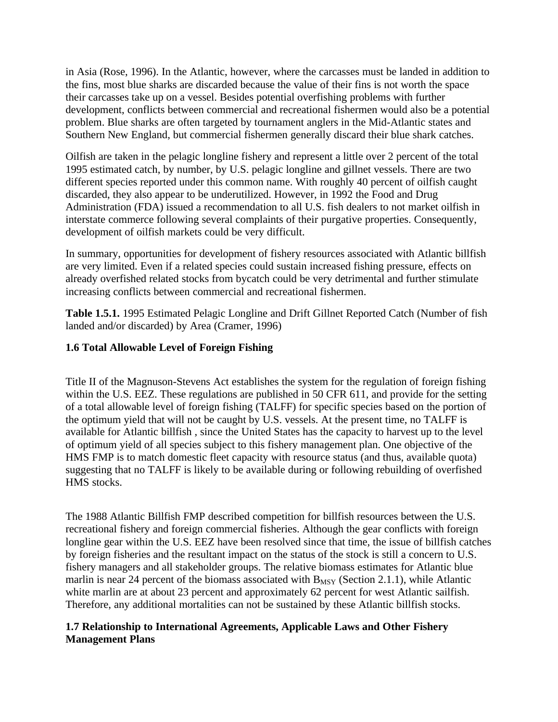in Asia (Rose, 1996). In the Atlantic, however, where the carcasses must be landed in addition to the fins, most blue sharks are discarded because the value of their fins is not worth the space their carcasses take up on a vessel. Besides potential overfishing problems with further development, conflicts between commercial and recreational fishermen would also be a potential problem. Blue sharks are often targeted by tournament anglers in the Mid-Atlantic states and Southern New England, but commercial fishermen generally discard their blue shark catches.

Oilfish are taken in the pelagic longline fishery and represent a little over 2 percent of the total 1995 estimated catch, by number, by U.S. pelagic longline and gillnet vessels. There are two different species reported under this common name. With roughly 40 percent of oilfish caught discarded, they also appear to be underutilized. However, in 1992 the Food and Drug Administration (FDA) issued a recommendation to all U.S. fish dealers to not market oilfish in interstate commerce following several complaints of their purgative properties. Consequently, development of oilfish markets could be very difficult.

In summary, opportunities for development of fishery resources associated with Atlantic billfish are very limited. Even if a related species could sustain increased fishing pressure, effects on already overfished related stocks from bycatch could be very detrimental and further stimulate increasing conflicts between commercial and recreational fishermen.

**Table 1.5.1.** 1995 Estimated Pelagic Longline and Drift Gillnet Reported Catch (Number of fish landed and/or discarded) by Area (Cramer, 1996)

# **1.6 Total Allowable Level of Foreign Fishing**

Title II of the Magnuson-Stevens Act establishes the system for the regulation of foreign fishing within the U.S. EEZ. These regulations are published in 50 CFR 611, and provide for the setting of a total allowable level of foreign fishing (TALFF) for specific species based on the portion of the optimum yield that will not be caught by U.S. vessels. At the present time, no TALFF is available for Atlantic billfish , since the United States has the capacity to harvest up to the level of optimum yield of all species subject to this fishery management plan. One objective of the HMS FMP is to match domestic fleet capacity with resource status (and thus, available quota) suggesting that no TALFF is likely to be available during or following rebuilding of overfished HMS stocks.

The 1988 Atlantic Billfish FMP described competition for billfish resources between the U.S. recreational fishery and foreign commercial fisheries. Although the gear conflicts with foreign longline gear within the U.S. EEZ have been resolved since that time, the issue of billfish catches by foreign fisheries and the resultant impact on the status of the stock is still a concern to U.S. fishery managers and all stakeholder groups. The relative biomass estimates for Atlantic blue marlin is near 24 percent of the biomass associated with  $B_{MSY}$  (Section 2.1.1), while Atlantic white marlin are at about 23 percent and approximately 62 percent for west Atlantic sailfish. Therefore, any additional mortalities can not be sustained by these Atlantic billfish stocks.

## **1.7 Relationship to International Agreements, Applicable Laws and Other Fishery Management Plans**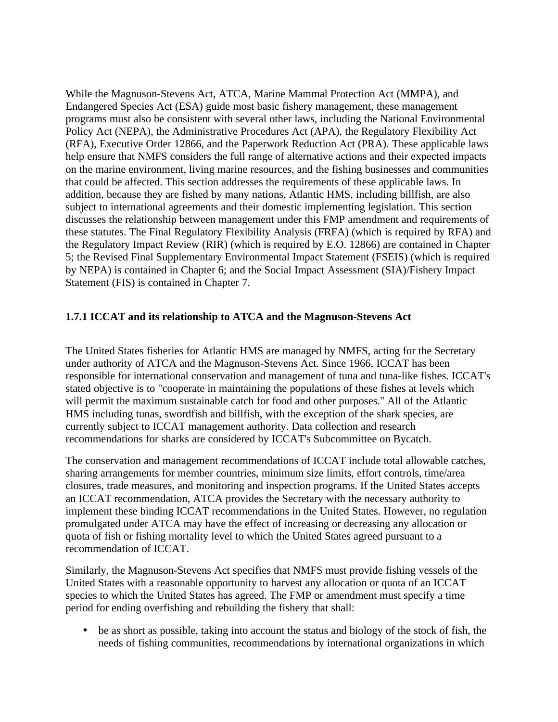While the Magnuson-Stevens Act, ATCA, Marine Mammal Protection Act (MMPA), and Endangered Species Act (ESA) guide most basic fishery management, these management programs must also be consistent with several other laws, including the National Environmental Policy Act (NEPA), the Administrative Procedures Act (APA), the Regulatory Flexibility Act (RFA), Executive Order 12866, and the Paperwork Reduction Act (PRA). These applicable laws help ensure that NMFS considers the full range of alternative actions and their expected impacts on the marine environment, living marine resources, and the fishing businesses and communities that could be affected. This section addresses the requirements of these applicable laws. In addition, because they are fished by many nations, Atlantic HMS, including billfish, are also subject to international agreements and their domestic implementing legislation. This section discusses the relationship between management under this FMP amendment and requirements of these statutes. The Final Regulatory Flexibility Analysis (FRFA) (which is required by RFA) and the Regulatory Impact Review (RIR) (which is required by E.O. 12866) are contained in Chapter 5; the Revised Final Supplementary Environmental Impact Statement (FSEIS) (which is required by NEPA) is contained in Chapter 6; and the Social Impact Assessment (SIA)/Fishery Impact Statement (FIS) is contained in Chapter 7.

## **1.7.1 ICCAT and its relationship to ATCA and the Magnuson-Stevens Act**

The United States fisheries for Atlantic HMS are managed by NMFS, acting for the Secretary under authority of ATCA and the Magnuson-Stevens Act. Since 1966, ICCAT has been responsible for international conservation and management of tuna and tuna-like fishes. ICCAT's stated objective is to "cooperate in maintaining the populations of these fishes at levels which will permit the maximum sustainable catch for food and other purposes." All of the Atlantic HMS including tunas, swordfish and billfish, with the exception of the shark species, are currently subject to ICCAT management authority. Data collection and research recommendations for sharks are considered by ICCAT's Subcommittee on Bycatch.

The conservation and management recommendations of ICCAT include total allowable catches, sharing arrangements for member countries, minimum size limits, effort controls, time/area closures, trade measures, and monitoring and inspection programs. If the United States accepts an ICCAT recommendation, ATCA provides the Secretary with the necessary authority to implement these binding ICCAT recommendations in the United States. However, no regulation promulgated under ATCA may have the effect of increasing or decreasing any allocation or quota of fish or fishing mortality level to which the United States agreed pursuant to a recommendation of ICCAT.

Similarly, the Magnuson-Stevens Act specifies that NMFS must provide fishing vessels of the United States with a reasonable opportunity to harvest any allocation or quota of an ICCAT species to which the United States has agreed. The FMP or amendment must specify a time period for ending overfishing and rebuilding the fishery that shall:

• be as short as possible, taking into account the status and biology of the stock of fish, the needs of fishing communities, recommendations by international organizations in which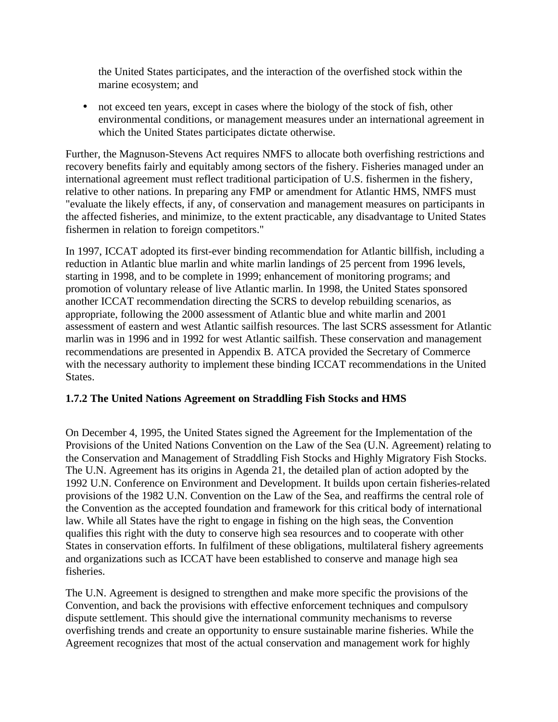the United States participates, and the interaction of the overfished stock within the marine ecosystem; and

• not exceed ten years, except in cases where the biology of the stock of fish, other environmental conditions, or management measures under an international agreement in which the United States participates dictate otherwise.

Further, the Magnuson-Stevens Act requires NMFS to allocate both overfishing restrictions and recovery benefits fairly and equitably among sectors of the fishery. Fisheries managed under an international agreement must reflect traditional participation of U.S. fishermen in the fishery, relative to other nations. In preparing any FMP or amendment for Atlantic HMS, NMFS must "evaluate the likely effects, if any, of conservation and management measures on participants in the affected fisheries, and minimize, to the extent practicable, any disadvantage to United States fishermen in relation to foreign competitors."

In 1997, ICCAT adopted its first-ever binding recommendation for Atlantic billfish, including a reduction in Atlantic blue marlin and white marlin landings of 25 percent from 1996 levels, starting in 1998, and to be complete in 1999; enhancement of monitoring programs; and promotion of voluntary release of live Atlantic marlin. In 1998, the United States sponsored another ICCAT recommendation directing the SCRS to develop rebuilding scenarios, as appropriate, following the 2000 assessment of Atlantic blue and white marlin and 2001 assessment of eastern and west Atlantic sailfish resources. The last SCRS assessment for Atlantic marlin was in 1996 and in 1992 for west Atlantic sailfish. These conservation and management recommendations are presented in Appendix B. ATCA provided the Secretary of Commerce with the necessary authority to implement these binding ICCAT recommendations in the United States.

## **1.7.2 The United Nations Agreement on Straddling Fish Stocks and HMS**

On December 4, 1995, the United States signed the Agreement for the Implementation of the Provisions of the United Nations Convention on the Law of the Sea (U.N. Agreement) relating to the Conservation and Management of Straddling Fish Stocks and Highly Migratory Fish Stocks. The U.N. Agreement has its origins in Agenda 21, the detailed plan of action adopted by the 1992 U.N. Conference on Environment and Development. It builds upon certain fisheries-related provisions of the 1982 U.N. Convention on the Law of the Sea, and reaffirms the central role of the Convention as the accepted foundation and framework for this critical body of international law. While all States have the right to engage in fishing on the high seas, the Convention qualifies this right with the duty to conserve high sea resources and to cooperate with other States in conservation efforts. In fulfilment of these obligations, multilateral fishery agreements and organizations such as ICCAT have been established to conserve and manage high sea fisheries.

The U.N. Agreement is designed to strengthen and make more specific the provisions of the Convention, and back the provisions with effective enforcement techniques and compulsory dispute settlement. This should give the international community mechanisms to reverse overfishing trends and create an opportunity to ensure sustainable marine fisheries. While the Agreement recognizes that most of the actual conservation and management work for highly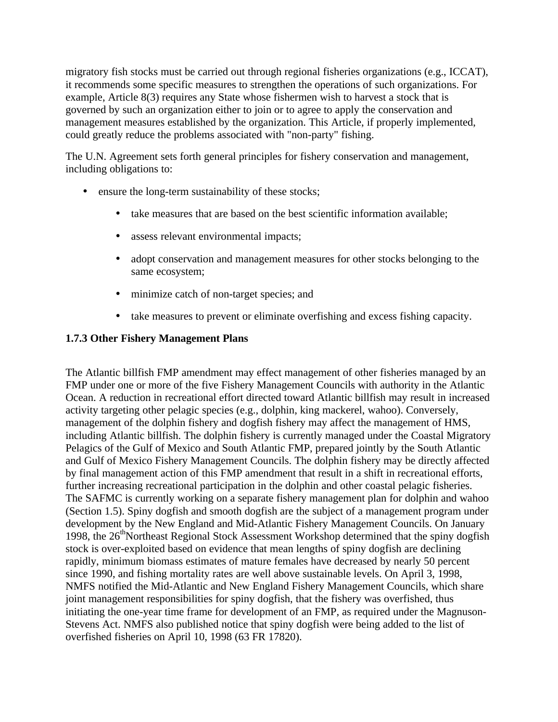migratory fish stocks must be carried out through regional fisheries organizations (e.g., ICCAT), it recommends some specific measures to strengthen the operations of such organizations. For example, Article 8(3) requires any State whose fishermen wish to harvest a stock that is governed by such an organization either to join or to agree to apply the conservation and management measures established by the organization. This Article, if properly implemented, could greatly reduce the problems associated with "non-party" fishing.

The U.N. Agreement sets forth general principles for fishery conservation and management, including obligations to:

- ensure the long-term sustainability of these stocks;
	- take measures that are based on the best scientific information available:
	- assess relevant environmental impacts;
	- adopt conservation and management measures for other stocks belonging to the same ecosystem;
	- minimize catch of non-target species; and
	- take measures to prevent or eliminate overfishing and excess fishing capacity.

# **1.7.3 Other Fishery Management Plans**

The Atlantic billfish FMP amendment may effect management of other fisheries managed by an FMP under one or more of the five Fishery Management Councils with authority in the Atlantic Ocean. A reduction in recreational effort directed toward Atlantic billfish may result in increased activity targeting other pelagic species (e.g., dolphin, king mackerel, wahoo). Conversely, management of the dolphin fishery and dogfish fishery may affect the management of HMS, including Atlantic billfish. The dolphin fishery is currently managed under the Coastal Migratory Pelagics of the Gulf of Mexico and South Atlantic FMP, prepared jointly by the South Atlantic and Gulf of Mexico Fishery Management Councils. The dolphin fishery may be directly affected by final management action of this FMP amendment that result in a shift in recreational efforts, further increasing recreational participation in the dolphin and other coastal pelagic fisheries. The SAFMC is currently working on a separate fishery management plan for dolphin and wahoo (Section 1.5). Spiny dogfish and smooth dogfish are the subject of a management program under development by the New England and Mid-Atlantic Fishery Management Councils. On January 1998, the  $26<sup>th</sup>$ Northeast Regional Stock Assessment Workshop determined that the spiny dogfish stock is over-exploited based on evidence that mean lengths of spiny dogfish are declining rapidly, minimum biomass estimates of mature females have decreased by nearly 50 percent since 1990, and fishing mortality rates are well above sustainable levels. On April 3, 1998, NMFS notified the Mid-Atlantic and New England Fishery Management Councils, which share joint management responsibilities for spiny dogfish, that the fishery was overfished, thus initiating the one-year time frame for development of an FMP, as required under the Magnuson-Stevens Act. NMFS also published notice that spiny dogfish were being added to the list of overfished fisheries on April 10, 1998 (63 FR 17820).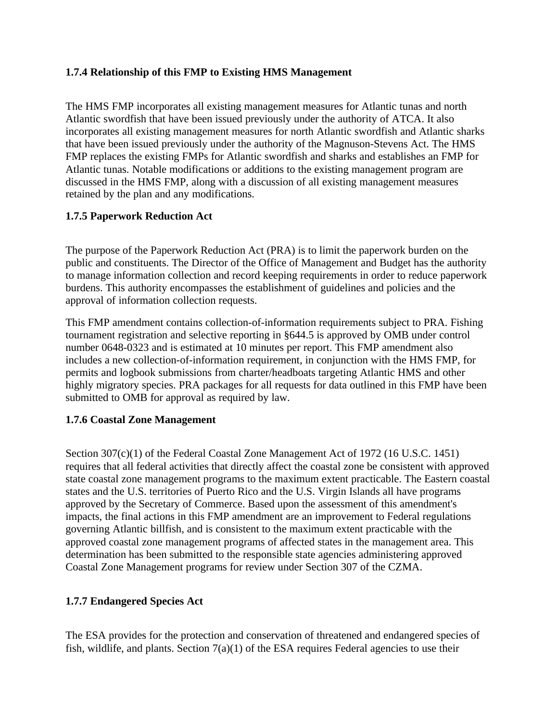# **1.7.4 Relationship of this FMP to Existing HMS Management**

The HMS FMP incorporates all existing management measures for Atlantic tunas and north Atlantic swordfish that have been issued previously under the authority of ATCA. It also incorporates all existing management measures for north Atlantic swordfish and Atlantic sharks that have been issued previously under the authority of the Magnuson-Stevens Act. The HMS FMP replaces the existing FMPs for Atlantic swordfish and sharks and establishes an FMP for Atlantic tunas. Notable modifications or additions to the existing management program are discussed in the HMS FMP, along with a discussion of all existing management measures retained by the plan and any modifications.

## **1.7.5 Paperwork Reduction Act**

The purpose of the Paperwork Reduction Act (PRA) is to limit the paperwork burden on the public and constituents. The Director of the Office of Management and Budget has the authority to manage information collection and record keeping requirements in order to reduce paperwork burdens. This authority encompasses the establishment of guidelines and policies and the approval of information collection requests.

This FMP amendment contains collection-of-information requirements subject to PRA. Fishing tournament registration and selective reporting in §644.5 is approved by OMB under control number 0648-0323 and is estimated at 10 minutes per report. This FMP amendment also includes a new collection-of-information requirement, in conjunction with the HMS FMP, for permits and logbook submissions from charter/headboats targeting Atlantic HMS and other highly migratory species. PRA packages for all requests for data outlined in this FMP have been submitted to OMB for approval as required by law.

## **1.7.6 Coastal Zone Management**

Section 307(c)(1) of the Federal Coastal Zone Management Act of 1972 (16 U.S.C. 1451) requires that all federal activities that directly affect the coastal zone be consistent with approved state coastal zone management programs to the maximum extent practicable. The Eastern coastal states and the U.S. territories of Puerto Rico and the U.S. Virgin Islands all have programs approved by the Secretary of Commerce. Based upon the assessment of this amendment's impacts, the final actions in this FMP amendment are an improvement to Federal regulations governing Atlantic billfish, and is consistent to the maximum extent practicable with the approved coastal zone management programs of affected states in the management area. This determination has been submitted to the responsible state agencies administering approved Coastal Zone Management programs for review under Section 307 of the CZMA.

# **1.7.7 Endangered Species Act**

The ESA provides for the protection and conservation of threatened and endangered species of fish, wildlife, and plants. Section  $7(a)(1)$  of the ESA requires Federal agencies to use their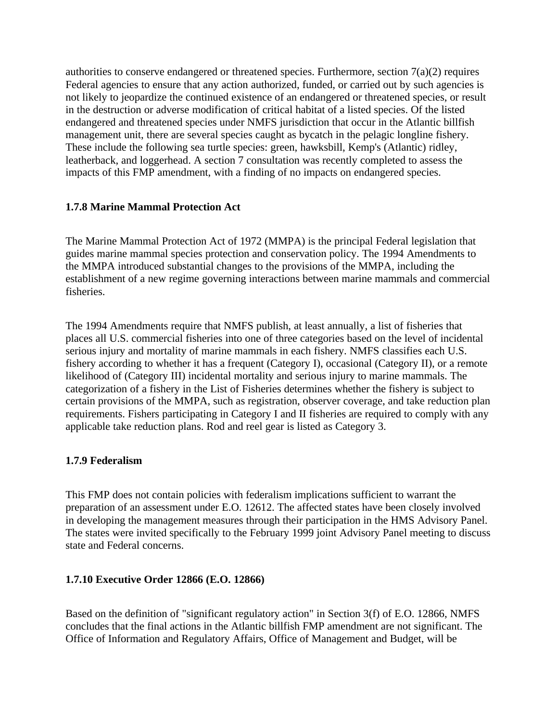authorities to conserve endangered or threatened species. Furthermore, section 7(a)(2) requires Federal agencies to ensure that any action authorized, funded, or carried out by such agencies is not likely to jeopardize the continued existence of an endangered or threatened species, or result in the destruction or adverse modification of critical habitat of a listed species. Of the listed endangered and threatened species under NMFS jurisdiction that occur in the Atlantic billfish management unit, there are several species caught as bycatch in the pelagic longline fishery. These include the following sea turtle species: green, hawksbill, Kemp's (Atlantic) ridley, leatherback, and loggerhead. A section 7 consultation was recently completed to assess the impacts of this FMP amendment, with a finding of no impacts on endangered species.

## **1.7.8 Marine Mammal Protection Act**

The Marine Mammal Protection Act of 1972 (MMPA) is the principal Federal legislation that guides marine mammal species protection and conservation policy. The 1994 Amendments to the MMPA introduced substantial changes to the provisions of the MMPA, including the establishment of a new regime governing interactions between marine mammals and commercial fisheries.

The 1994 Amendments require that NMFS publish, at least annually, a list of fisheries that places all U.S. commercial fisheries into one of three categories based on the level of incidental serious injury and mortality of marine mammals in each fishery. NMFS classifies each U.S. fishery according to whether it has a frequent (Category I), occasional (Category II), or a remote likelihood of (Category III) incidental mortality and serious injury to marine mammals. The categorization of a fishery in the List of Fisheries determines whether the fishery is subject to certain provisions of the MMPA, such as registration, observer coverage, and take reduction plan requirements. Fishers participating in Category I and II fisheries are required to comply with any applicable take reduction plans. Rod and reel gear is listed as Category 3.

## **1.7.9 Federalism**

This FMP does not contain policies with federalism implications sufficient to warrant the preparation of an assessment under E.O. 12612. The affected states have been closely involved in developing the management measures through their participation in the HMS Advisory Panel. The states were invited specifically to the February 1999 joint Advisory Panel meeting to discuss state and Federal concerns.

## **1.7.10 Executive Order 12866 (E.O. 12866)**

Based on the definition of "significant regulatory action" in Section 3(f) of E.O. 12866, NMFS concludes that the final actions in the Atlantic billfish FMP amendment are not significant. The Office of Information and Regulatory Affairs, Office of Management and Budget, will be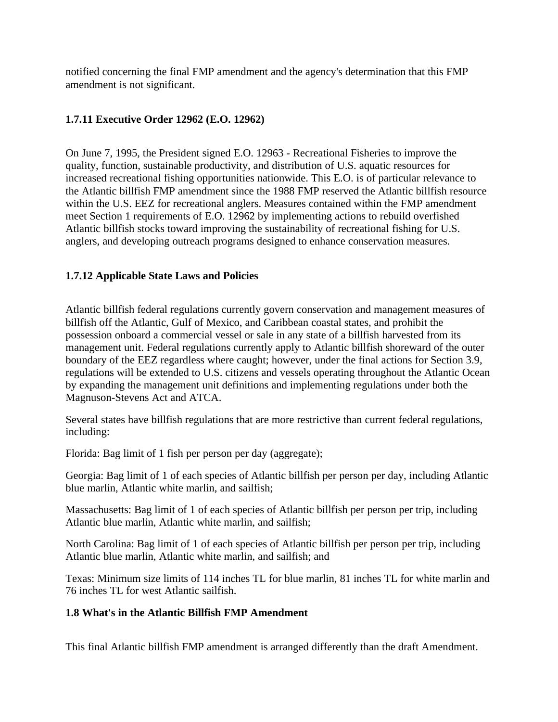notified concerning the final FMP amendment and the agency's determination that this FMP amendment is not significant.

# **1.7.11 Executive Order 12962 (E.O. 12962)**

On June 7, 1995, the President signed E.O. 12963 - Recreational Fisheries to improve the quality, function, sustainable productivity, and distribution of U.S. aquatic resources for increased recreational fishing opportunities nationwide. This E.O. is of particular relevance to the Atlantic billfish FMP amendment since the 1988 FMP reserved the Atlantic billfish resource within the U.S. EEZ for recreational anglers. Measures contained within the FMP amendment meet Section 1 requirements of E.O. 12962 by implementing actions to rebuild overfished Atlantic billfish stocks toward improving the sustainability of recreational fishing for U.S. anglers, and developing outreach programs designed to enhance conservation measures.

# **1.7.12 Applicable State Laws and Policies**

Atlantic billfish federal regulations currently govern conservation and management measures of billfish off the Atlantic, Gulf of Mexico, and Caribbean coastal states, and prohibit the possession onboard a commercial vessel or sale in any state of a billfish harvested from its management unit. Federal regulations currently apply to Atlantic billfish shoreward of the outer boundary of the EEZ regardless where caught; however, under the final actions for Section 3.9, regulations will be extended to U.S. citizens and vessels operating throughout the Atlantic Ocean by expanding the management unit definitions and implementing regulations under both the Magnuson-Stevens Act and ATCA.

Several states have billfish regulations that are more restrictive than current federal regulations, including:

Florida: Bag limit of 1 fish per person per day (aggregate);

Georgia: Bag limit of 1 of each species of Atlantic billfish per person per day, including Atlantic blue marlin, Atlantic white marlin, and sailfish;

Massachusetts: Bag limit of 1 of each species of Atlantic billfish per person per trip, including Atlantic blue marlin, Atlantic white marlin, and sailfish;

North Carolina: Bag limit of 1 of each species of Atlantic billfish per person per trip, including Atlantic blue marlin, Atlantic white marlin, and sailfish; and

Texas: Minimum size limits of 114 inches TL for blue marlin, 81 inches TL for white marlin and 76 inches TL for west Atlantic sailfish.

## **1.8 What's in the Atlantic Billfish FMP Amendment**

This final Atlantic billfish FMP amendment is arranged differently than the draft Amendment.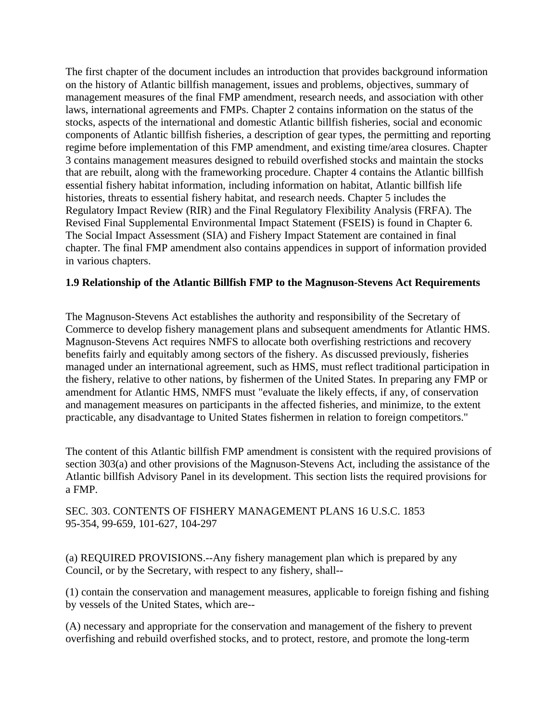The first chapter of the document includes an introduction that provides background information on the history of Atlantic billfish management, issues and problems, objectives, summary of management measures of the final FMP amendment, research needs, and association with other laws, international agreements and FMPs. Chapter 2 contains information on the status of the stocks, aspects of the international and domestic Atlantic billfish fisheries, social and economic components of Atlantic billfish fisheries, a description of gear types, the permitting and reporting regime before implementation of this FMP amendment, and existing time/area closures. Chapter 3 contains management measures designed to rebuild overfished stocks and maintain the stocks that are rebuilt, along with the frameworking procedure. Chapter 4 contains the Atlantic billfish essential fishery habitat information, including information on habitat, Atlantic billfish life histories, threats to essential fishery habitat, and research needs. Chapter 5 includes the Regulatory Impact Review (RIR) and the Final Regulatory Flexibility Analysis (FRFA). The Revised Final Supplemental Environmental Impact Statement (FSEIS) is found in Chapter 6. The Social Impact Assessment (SIA) and Fishery Impact Statement are contained in final chapter. The final FMP amendment also contains appendices in support of information provided in various chapters.

## **1.9 Relationship of the Atlantic Billfish FMP to the Magnuson-Stevens Act Requirements**

The Magnuson-Stevens Act establishes the authority and responsibility of the Secretary of Commerce to develop fishery management plans and subsequent amendments for Atlantic HMS. Magnuson-Stevens Act requires NMFS to allocate both overfishing restrictions and recovery benefits fairly and equitably among sectors of the fishery. As discussed previously, fisheries managed under an international agreement, such as HMS, must reflect traditional participation in the fishery, relative to other nations, by fishermen of the United States. In preparing any FMP or amendment for Atlantic HMS, NMFS must "evaluate the likely effects, if any, of conservation and management measures on participants in the affected fisheries, and minimize, to the extent practicable, any disadvantage to United States fishermen in relation to foreign competitors."

The content of this Atlantic billfish FMP amendment is consistent with the required provisions of section 303(a) and other provisions of the Magnuson-Stevens Act, including the assistance of the Atlantic billfish Advisory Panel in its development. This section lists the required provisions for a FMP.

SEC. 303. CONTENTS OF FISHERY MANAGEMENT PLANS 16 U.S.C. 1853 95-354, 99-659, 101-627, 104-297

(a) REQUIRED PROVISIONS.--Any fishery management plan which is prepared by any Council, or by the Secretary, with respect to any fishery, shall-

(1) contain the conservation and management measures, applicable to foreign fishing and fishing by vessels of the United States, which are-

(A) necessary and appropriate for the conservation and management of the fishery to prevent overfishing and rebuild overfished stocks, and to protect, restore, and promote the long-term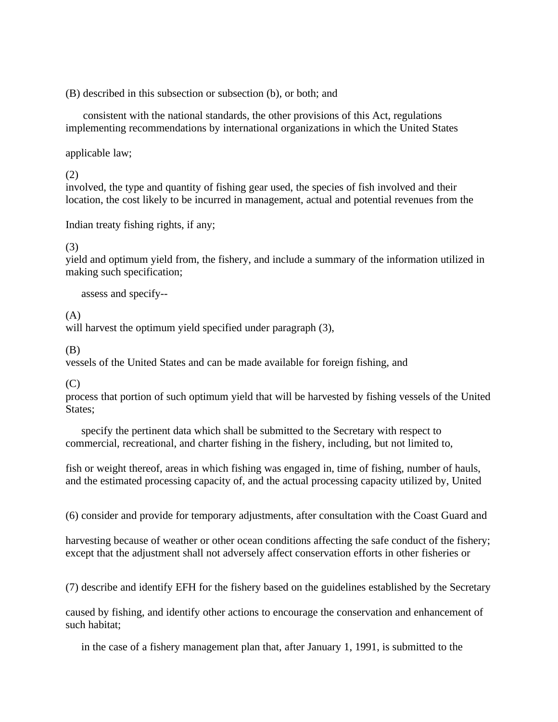(B) described in this subsection or subsection (b), or both; and

consistent with the national standards, the other provisions of this Act, regulations implementing recommendations by international organizations in which the United States

applicable law;

(2)

involved, the type and quantity of fishing gear used, the species of fish involved and their location, the cost likely to be incurred in management, actual and potential revenues from the

Indian treaty fishing rights, if any;

## (3)

yield and optimum yield from, the fishery, and include a summary of the information utilized in making such specification;

assess and specify-

(A)

will harvest the optimum yield specified under paragraph (3),

(B)

vessels of the United States and can be made available for foreign fishing, and

(C)

process that portion of such optimum yield that will be harvested by fishing vessels of the United States;

specify the pertinent data which shall be submitted to the Secretary with respect to commercial, recreational, and charter fishing in the fishery, including, but not limited to,

fish or weight thereof, areas in which fishing was engaged in, time of fishing, number of hauls, and the estimated processing capacity of, and the actual processing capacity utilized by, United

(6) consider and provide for temporary adjustments, after consultation with the Coast Guard and

harvesting because of weather or other ocean conditions affecting the safe conduct of the fishery; except that the adjustment shall not adversely affect conservation efforts in other fisheries or

(7) describe and identify EFH for the fishery based on the guidelines established by the Secretary

caused by fishing, and identify other actions to encourage the conservation and enhancement of such habitat;

in the case of a fishery management plan that, after January 1, 1991, is submitted to the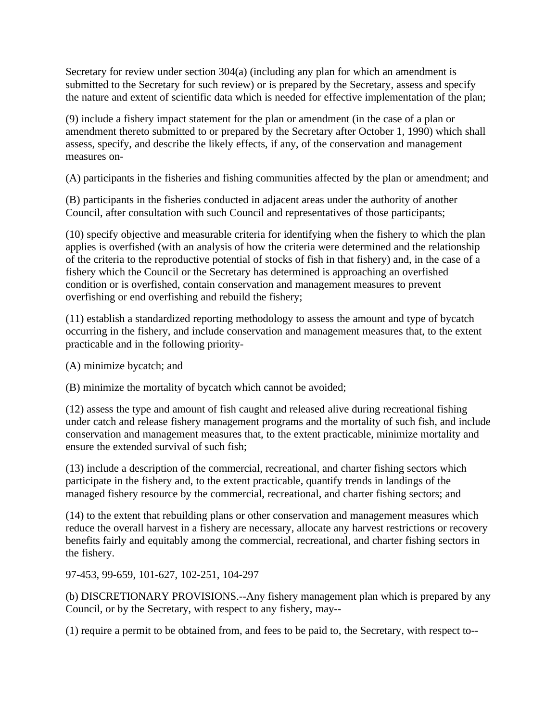Secretary for review under section 304(a) (including any plan for which an amendment is submitted to the Secretary for such review) or is prepared by the Secretary, assess and specify the nature and extent of scientific data which is needed for effective implementation of the plan;

(9) include a fishery impact statement for the plan or amendment (in the case of a plan or amendment thereto submitted to or prepared by the Secretary after October 1, 1990) which shall assess, specify, and describe the likely effects, if any, of the conservation and management measures on

(A) participants in the fisheries and fishing communities affected by the plan or amendment; and

(B) participants in the fisheries conducted in adjacent areas under the authority of another Council, after consultation with such Council and representatives of those participants;

(10) specify objective and measurable criteria for identifying when the fishery to which the plan applies is overfished (with an analysis of how the criteria were determined and the relationship of the criteria to the reproductive potential of stocks of fish in that fishery) and, in the case of a fishery which the Council or the Secretary has determined is approaching an overfished condition or is overfished, contain conservation and management measures to prevent overfishing or end overfishing and rebuild the fishery;

(11) establish a standardized reporting methodology to assess the amount and type of bycatch occurring in the fishery, and include conservation and management measures that, to the extent practicable and in the following priority

(A) minimize bycatch; and

(B) minimize the mortality of bycatch which cannot be avoided;

(12) assess the type and amount of fish caught and released alive during recreational fishing under catch and release fishery management programs and the mortality of such fish, and include conservation and management measures that, to the extent practicable, minimize mortality and ensure the extended survival of such fish;

(13) include a description of the commercial, recreational, and charter fishing sectors which participate in the fishery and, to the extent practicable, quantify trends in landings of the managed fishery resource by the commercial, recreational, and charter fishing sectors; and

(14) to the extent that rebuilding plans or other conservation and management measures which reduce the overall harvest in a fishery are necessary, allocate any harvest restrictions or recovery benefits fairly and equitably among the commercial, recreational, and charter fishing sectors in the fishery.

97-453, 99-659, 101-627, 102-251, 104-297

(b) DISCRETIONARY PROVISIONS.--Any fishery management plan which is prepared by any Council, or by the Secretary, with respect to any fishery, may-

(1) require a permit to be obtained from, and fees to be paid to, the Secretary, with respect to--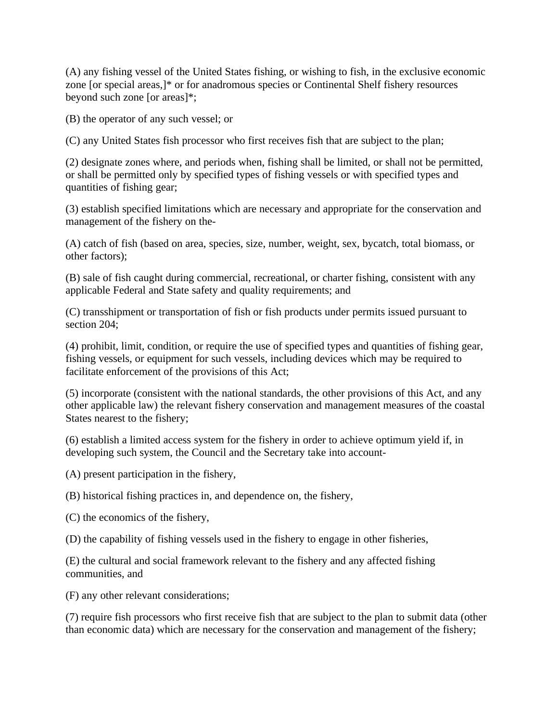(A) any fishing vessel of the United States fishing, or wishing to fish, in the exclusive economic zone [or special areas,]\* or for anadromous species or Continental Shelf fishery resources beyond such zone [or areas]\*;

(B) the operator of any such vessel; or

(C) any United States fish processor who first receives fish that are subject to the plan;

(2) designate zones where, and periods when, fishing shall be limited, or shall not be permitted, or shall be permitted only by specified types of fishing vessels or with specified types and quantities of fishing gear;

(3) establish specified limitations which are necessary and appropriate for the conservation and management of the fishery on the

(A) catch of fish (based on area, species, size, number, weight, sex, bycatch, total biomass, or other factors);

(B) sale of fish caught during commercial, recreational, or charter fishing, consistent with any applicable Federal and State safety and quality requirements; and

(C) transshipment or transportation of fish or fish products under permits issued pursuant to section 204;

(4) prohibit, limit, condition, or require the use of specified types and quantities of fishing gear, fishing vessels, or equipment for such vessels, including devices which may be required to facilitate enforcement of the provisions of this Act;

(5) incorporate (consistent with the national standards, the other provisions of this Act, and any other applicable law) the relevant fishery conservation and management measures of the coastal States nearest to the fishery;

(6) establish a limited access system for the fishery in order to achieve optimum yield if, in developing such system, the Council and the Secretary take into account

(A) present participation in the fishery,

(B) historical fishing practices in, and dependence on, the fishery,

(C) the economics of the fishery,

(D) the capability of fishing vessels used in the fishery to engage in other fisheries,

(E) the cultural and social framework relevant to the fishery and any affected fishing communities, and

(F) any other relevant considerations;

(7) require fish processors who first receive fish that are subject to the plan to submit data (other than economic data) which are necessary for the conservation and management of the fishery;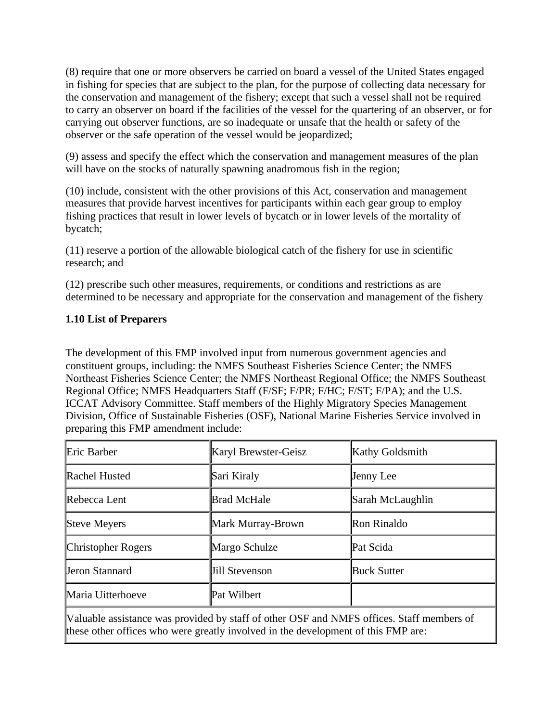(8) require that one or more observers be carried on board a vessel of the United States engaged in fishing for species that are subject to the plan, for the purpose of collecting data necessary for the conservation and management of the fishery; except that such a vessel shall not be required to carry an observer on board if the facilities of the vessel for the quartering of an observer, or for carrying out observer functions, are so inadequate or unsafe that the health or safety of the observer or the safe operation of the vessel would be jeopardized;

(9) assess and specify the effect which the conservation and management measures of the plan will have on the stocks of naturally spawning anadromous fish in the region;

(10) include, consistent with the other provisions of this Act, conservation and management measures that provide harvest incentives for participants within each gear group to employ fishing practices that result in lower levels of bycatch or in lower levels of the mortality of bycatch;

(11) reserve a portion of the allowable biological catch of the fishery for use in scientific research; and

(12) prescribe such other measures, requirements, or conditions and restrictions as are determined to be necessary and appropriate for the conservation and management of the fishery

## **1.10 List of Preparers**

The development of this FMP involved input from numerous government agencies and constituent groups, including: the NMFS Southeast Fisheries Science Center; the NMFS Northeast Fisheries Science Center; the NMFS Northeast Regional Office; the NMFS Southeast Regional Office; NMFS Headquarters Staff (F/SF; F/PR; F/HC; F/ST; F/PA); and the U.S. ICCAT Advisory Committee. Staff members of the Highly Migratory Species Management Division, Office of Sustainable Fisheries (OSF), National Marine Fisheries Service involved in preparing this FMP amendment include:

| Eric Barber                                                                                                                                                                    | Karyl Brewster-Geisz  | Kathy Goldsmith    |  |  |
|--------------------------------------------------------------------------------------------------------------------------------------------------------------------------------|-----------------------|--------------------|--|--|
| Rachel Husted                                                                                                                                                                  | Sari Kiraly           | Jenny Lee          |  |  |
| Rebecca Lent                                                                                                                                                                   | <b>Brad McHale</b>    | Sarah McLaughlin   |  |  |
| Steve Meyers                                                                                                                                                                   | Mark Murray-Brown     | Ron Rinaldo        |  |  |
| <b>Christopher Rogers</b>                                                                                                                                                      | Margo Schulze         | Pat Scida          |  |  |
| <b>Jeron Stannard</b>                                                                                                                                                          | <b>Jill Stevenson</b> | <b>Buck Sutter</b> |  |  |
| Maria Uitterhoeve                                                                                                                                                              | Pat Wilbert           |                    |  |  |
| Valuable assistance was provided by staff of other OSF and NMFS offices. Staff members of<br>these other offices who were greatly involved in the development of this FMP are: |                       |                    |  |  |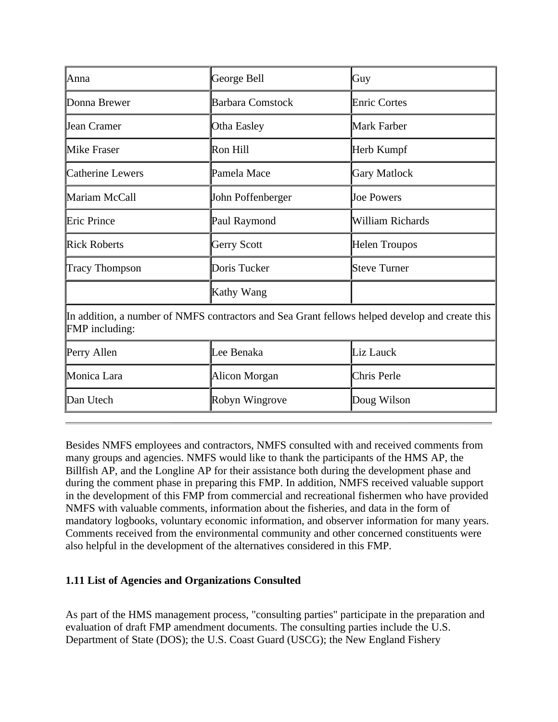| Anna                                                                                                                    | George Bell             | Guy                  |  |  |  |
|-------------------------------------------------------------------------------------------------------------------------|-------------------------|----------------------|--|--|--|
| Donna Brewer                                                                                                            | <b>Barbara Comstock</b> | <b>Enric Cortes</b>  |  |  |  |
| <b>Jean Cramer</b>                                                                                                      | Otha Easley             | Mark Farber          |  |  |  |
| Mike Fraser                                                                                                             | Ron Hill                | Herb Kumpf           |  |  |  |
| Catherine Lewers                                                                                                        | Pamela Mace             | <b>Gary Matlock</b>  |  |  |  |
| Mariam McCall                                                                                                           | John Poffenberger       | <b>Joe Powers</b>    |  |  |  |
| Eric Prince                                                                                                             | Paul Raymond            | William Richards     |  |  |  |
| <b>Rick Roberts</b>                                                                                                     | Gerry Scott             | <b>Helen Troupos</b> |  |  |  |
| Tracy Thompson                                                                                                          | Doris Tucker            | <b>Steve Turner</b>  |  |  |  |
|                                                                                                                         | Kathy Wang              |                      |  |  |  |
| In addition, a number of NMFS contractors and Sea Grant fellows helped develop and create this<br><b>FMP</b> including: |                         |                      |  |  |  |
| Perry Allen                                                                                                             | Lee Benaka              | Liz Lauck            |  |  |  |
| Monica Lara                                                                                                             | Alicon Morgan           | Chris Perle          |  |  |  |
| Dan Utech                                                                                                               | Robyn Wingrove          | Doug Wilson          |  |  |  |

Besides NMFS employees and contractors, NMFS consulted with and received comments from many groups and agencies. NMFS would like to thank the participants of the HMS AP, the Billfish AP, and the Longline AP for their assistance both during the development phase and during the comment phase in preparing this FMP. In addition, NMFS received valuable support in the development of this FMP from commercial and recreational fishermen who have provided NMFS with valuable comments, information about the fisheries, and data in the form of mandatory logbooks, voluntary economic information, and observer information for many years. Comments received from the environmental community and other concerned constituents were also helpful in the development of the alternatives considered in this FMP.

## **1.11 List of Agencies and Organizations Consulted**

As part of the HMS management process, "consulting parties" participate in the preparation and evaluation of draft FMP amendment documents. The consulting parties include the U.S. Department of State (DOS); the U.S. Coast Guard (USCG); the New England Fishery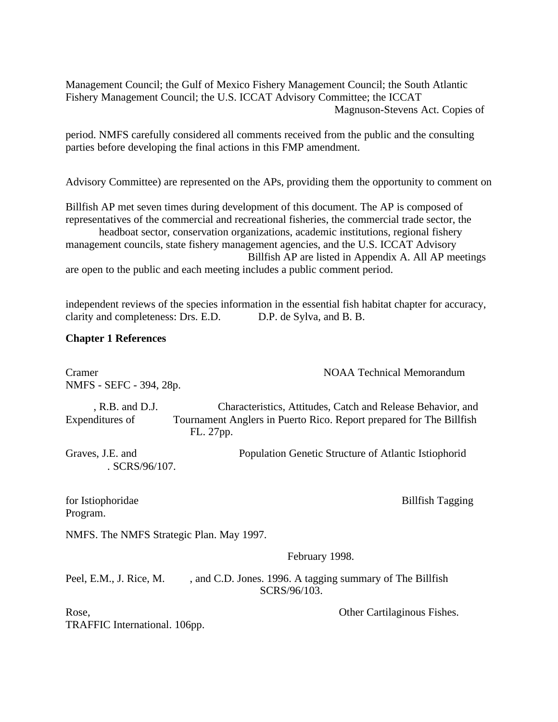Management Council; the Gulf of Mexico Fishery Management Council; the South Atlantic Fishery Management Council; the U.S. ICCAT Advisory Committee; the ICCAT Magnuson-Stevens Act. Copies of

period. NMFS carefully considered all comments received from the public and the consulting parties before developing the final actions in this FMP amendment.

Advisory Committee) are represented on the APs, providing them the opportunity to comment on

Billfish AP met seven times during development of this document. The AP is composed of representatives of the commercial and recreational fisheries, the commercial trade sector, the

headboat sector, conservation organizations, academic institutions, regional fishery management councils, state fishery management agencies, and the U.S. ICCAT Advisory Billfish AP are listed in Appendix A. All AP meetings are open to the public and each meeting includes a public comment period.

independent reviews of the species information in the essential fish habitat chapter for accuracy, clarity and completeness: Drs. E.D. D.P. de Sylva, and B. B.

#### **Chapter 1 References**

Cramer **NOAA Technical Memorandum** NMFS - SEFC - 394, 28p. , R.B. and D.J. Characteristics, Attitudes, Catch and Release Behavior, and Expenditures of Tournament Anglers in Puerto Rico. Report prepared for The Billfish FL. 27pp. Graves, J.E. and Population Genetic Structure of Atlantic Istiophorid . SCRS/96/107. for Istiophoridae Billfish Tagging Program. NMFS. The NMFS Strategic Plan. May 1997. February 1998. Peel, E.M., J. Rice, M. , and C.D. Jones. 1996. A tagging summary of The Billfish

SCRS/96/103.

Rose, **Cartilaginous Fishes.** Other Cartilaginous Fishes. TRAFFIC International. 106pp.